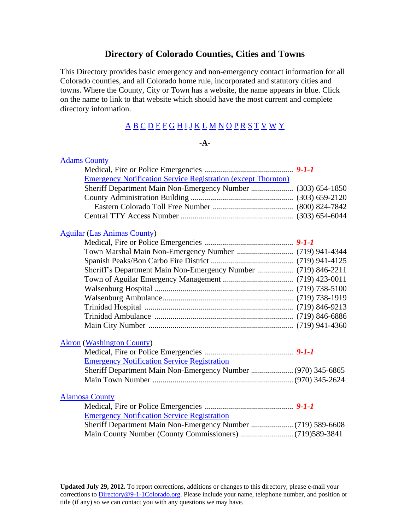## **Directory of Colorado Counties, Cities and Towns**

This Directory provides basic emergency and non-emergency contact information for all Colorado counties, and all Colorado home rule, incorporated and statutory cities and towns. Where the County, City or Town has a website, the name appears in blue. Click on the name to link to that website which should have the most current and complete directory information.

# [A](#page-0-0) [B](#page-3-0) [C](#page-7-0) [D](#page-12-0) [E](#page-14-0) [F](#page-17-0) [G](#page-20-0) [H](#page-24-0) [I](#page-26-0) [J](#page-27-0) [K](#page-28-0) [L](#page-30-0) [M](#page-34-0) [N](#page-37-0) [O](#page-39-0) [P](#page-41-0) [R](#page-44-0) [S](#page-46-0) [T](#page-51-0) [V](#page-52-0) [W](#page-53-0) [Y](#page-56-0)

#### **-A-**

<span id="page-0-2"></span><span id="page-0-1"></span><span id="page-0-0"></span>

| <b>Adams County</b>                                                  |  |
|----------------------------------------------------------------------|--|
|                                                                      |  |
| <b>Emergency Notification Service Registration (except Thornton)</b> |  |
| Sheriff Department Main Non-Emergency Number  (303) 654-1850         |  |
|                                                                      |  |
|                                                                      |  |
|                                                                      |  |
| <b>Aguilar (Las Animas County)</b>                                   |  |
|                                                                      |  |
|                                                                      |  |
|                                                                      |  |
| Sheriff's Department Main Non-Emergency Number  (719) 846-2211       |  |
|                                                                      |  |
|                                                                      |  |
|                                                                      |  |
|                                                                      |  |
|                                                                      |  |
|                                                                      |  |
| <b>Akron</b> (Washington County)                                     |  |
|                                                                      |  |
| <b>Emergency Notification Service Registration</b>                   |  |
| Sheriff Department Main Non-Emergency Number  (970) 345-6865         |  |
|                                                                      |  |
| <b>Alamosa County</b>                                                |  |
|                                                                      |  |
| <b>Emergency Notification Service Registration</b>                   |  |
|                                                                      |  |
|                                                                      |  |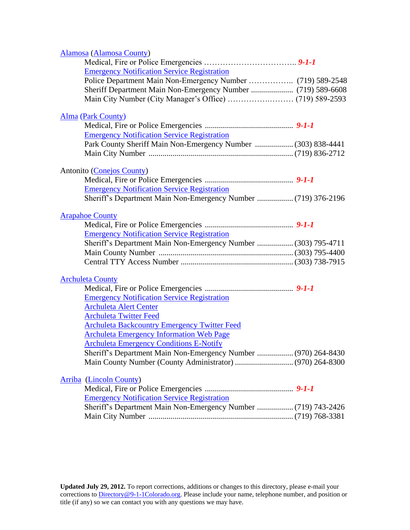<span id="page-1-1"></span><span id="page-1-0"></span>

| Alamosa (Alamosa County)                                       |  |
|----------------------------------------------------------------|--|
|                                                                |  |
| <b>Emergency Notification Service Registration</b>             |  |
| Police Department Main Non-Emergency Number  (719) 589-2548    |  |
| Sheriff Department Main Non-Emergency Number  (719) 589-6608   |  |
|                                                                |  |
|                                                                |  |
| <b>Alma (Park County)</b>                                      |  |
|                                                                |  |
| <b>Emergency Notification Service Registration</b>             |  |
| Park County Sheriff Main Non-Emergency Number  (303) 838-4441  |  |
|                                                                |  |
|                                                                |  |
| <b>Antonito</b> (Conejos County)                               |  |
|                                                                |  |
| <b>Emergency Notification Service Registration</b>             |  |
| Sheriff's Department Main Non-Emergency Number  (719) 376-2196 |  |
| <b>Arapahoe County</b>                                         |  |
|                                                                |  |
| <b>Emergency Notification Service Registration</b>             |  |
|                                                                |  |
| Sheriff's Department Main Non-Emergency Number  (303) 795-4711 |  |
|                                                                |  |
|                                                                |  |
| <b>Archuleta County</b>                                        |  |
|                                                                |  |
| <b>Emergency Notification Service Registration</b>             |  |
| <b>Archuleta Alert Center</b>                                  |  |
| <b>Archuleta Twitter Feed</b>                                  |  |
| <b>Archuleta Backcountry Emergency Twitter Feed</b>            |  |
| <b>Archuleta Emergency Information Web Page</b>                |  |
| <b>Archuleta Emergency Conditions E-Notify</b>                 |  |
|                                                                |  |
| Sheriff's Department Main Non-Emergency Number  (970) 264-8430 |  |
|                                                                |  |
| <b>Arriba</b> (Lincoln County)                                 |  |
|                                                                |  |
| <b>Emergency Notification Service Registration</b>             |  |
| Sheriff's Department Main Non-Emergency Number  (719) 743-2426 |  |
|                                                                |  |
|                                                                |  |
|                                                                |  |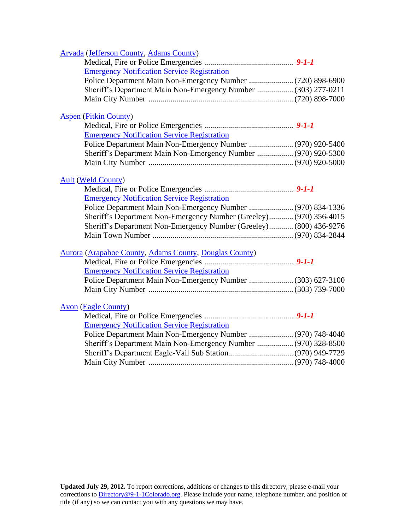| <b>Arvada</b> (Jefferson County, Adams County)                                                                    |  |
|-------------------------------------------------------------------------------------------------------------------|--|
|                                                                                                                   |  |
| <b>Emergency Notification Service Registration</b>                                                                |  |
|                                                                                                                   |  |
| Sheriff's Department Main Non-Emergency Number  (303) 277-0211                                                    |  |
|                                                                                                                   |  |
|                                                                                                                   |  |
| <b>Aspen (Pitkin County)</b>                                                                                      |  |
|                                                                                                                   |  |
| <b>Emergency Notification Service Registration</b>                                                                |  |
|                                                                                                                   |  |
| Sheriff's Department Main Non-Emergency Number  (970) 920-5300                                                    |  |
|                                                                                                                   |  |
| <b>Ault (Weld County)</b>                                                                                         |  |
|                                                                                                                   |  |
| <b>Emergency Notification Service Registration</b>                                                                |  |
| Police Department Main Non-Emergency Number  (970) 834-1336                                                       |  |
| Sheriff's Department Non-Emergency Number (Greeley) (970) 356-4015                                                |  |
| Sheriff's Department Non-Emergency Number (Greeley) (800) 436-9276                                                |  |
|                                                                                                                   |  |
|                                                                                                                   |  |
| Aurora (Arapahoe County, Adams County, Douglas County)                                                            |  |
|                                                                                                                   |  |
| <b>Emergency Notification Service Registration</b>                                                                |  |
| Police Department Main Non-Emergency Number  (303) 627-3100                                                       |  |
|                                                                                                                   |  |
|                                                                                                                   |  |
| <b>Avon</b> (Eagle County)                                                                                        |  |
|                                                                                                                   |  |
| <b>Emergency Notification Service Registration</b><br>Police Department Main Non-Emergency Number  (970) 748-4040 |  |
|                                                                                                                   |  |
| Sheriff's Department Main Non-Emergency Number  (970) 328-8500                                                    |  |
|                                                                                                                   |  |
|                                                                                                                   |  |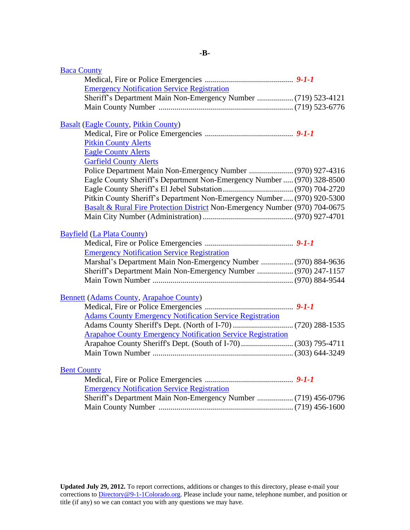<span id="page-3-2"></span><span id="page-3-1"></span><span id="page-3-0"></span>

| <b>Baca County</b>                                                          |  |
|-----------------------------------------------------------------------------|--|
|                                                                             |  |
| <b>Emergency Notification Service Registration</b>                          |  |
| Sheriff's Department Main Non-Emergency Number  (719) 523-4121              |  |
|                                                                             |  |
|                                                                             |  |
| <b>Basalt (Eagle County, Pitkin County)</b>                                 |  |
|                                                                             |  |
| <b>Pitkin County Alerts</b>                                                 |  |
| <b>Eagle County Alerts</b>                                                  |  |
| <b>Garfield County Alerts</b>                                               |  |
| Police Department Main Non-Emergency Number  (970) 927-4316                 |  |
| Eagle County Sheriff's Department Non-Emergency Number  (970) 328-8500      |  |
|                                                                             |  |
| Pitkin County Sheriff's Department Non-Emergency Number (970) 920-5300      |  |
| Basalt & Rural Fire Protection District Non-Emergency Number (970) 704-0675 |  |
|                                                                             |  |
|                                                                             |  |
| <b>Bayfield (La Plata County)</b>                                           |  |
|                                                                             |  |
| <b>Emergency Notification Service Registration</b>                          |  |
| Marshal's Department Main Non-Emergency Number  (970) 884-9636              |  |
| Sheriff's Department Main Non-Emergency Number  (970) 247-1157              |  |
|                                                                             |  |
|                                                                             |  |
| <b>Bennett (Adams County, Arapahoe County)</b>                              |  |
|                                                                             |  |
| <b>Adams County Emergency Notification Service Registration</b>             |  |
| <b>Arapahoe County Emergency Notification Service Registration</b>          |  |
|                                                                             |  |
|                                                                             |  |
|                                                                             |  |
|                                                                             |  |
|                                                                             |  |
| <b>Bent County</b>                                                          |  |
|                                                                             |  |
| <b>Emergency Notification Service Registration</b>                          |  |
|                                                                             |  |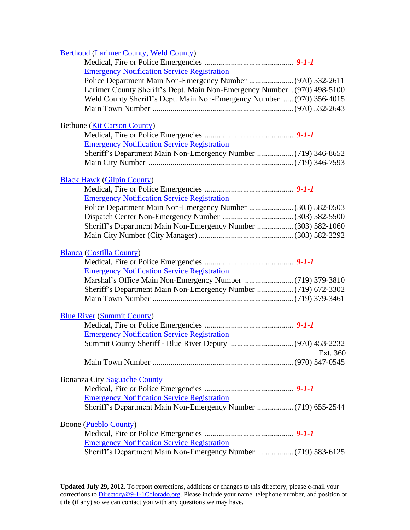<span id="page-4-0"></span>

| <b>Berthoud (Larimer County, Weld County)</b>                             |          |
|---------------------------------------------------------------------------|----------|
|                                                                           |          |
| <b>Emergency Notification Service Registration</b>                        |          |
| Police Department Main Non-Emergency Number  (970) 532-2611               |          |
| Larimer County Sheriff's Dept. Main Non-Emergency Number . (970) 498-5100 |          |
| Weld County Sheriff's Dept. Main Non-Emergency Number  (970) 356-4015     |          |
|                                                                           |          |
| Bethune (Kit Carson County)                                               |          |
|                                                                           |          |
| <b>Emergency Notification Service Registration</b>                        |          |
| Sheriff's Department Main Non-Emergency Number  (719) 346-8652            |          |
|                                                                           |          |
| <b>Black Hawk (Gilpin County)</b>                                         |          |
|                                                                           |          |
| <b>Emergency Notification Service Registration</b>                        |          |
|                                                                           |          |
|                                                                           |          |
| Sheriff's Department Main Non-Emergency Number  (303) 582-1060            |          |
|                                                                           |          |
| <b>Blanca</b> (Costilla County)                                           |          |
|                                                                           |          |
| <b>Emergency Notification Service Registration</b>                        |          |
|                                                                           |          |
| Sheriff's Department Main Non-Emergency Number  (719) 672-3302            |          |
|                                                                           |          |
| <b>Blue River (Summit County)</b>                                         |          |
|                                                                           |          |
| <b>Emergency Notification Service Registration</b>                        |          |
|                                                                           |          |
|                                                                           | Ext. 360 |
|                                                                           |          |
| <b>Bonanza City Saguache County</b>                                       |          |
|                                                                           |          |
| <b>Emergency Notification Service Registration</b>                        |          |
| Sheriff's Department Main Non-Emergency Number  (719) 655-2544            |          |
| <b>Boone</b> (Pueblo County)                                              |          |
|                                                                           |          |
| <b>Emergency Notification Service Registration</b>                        |          |
| Sheriff's Department Main Non-Emergency Number  (719) 583-6125            |          |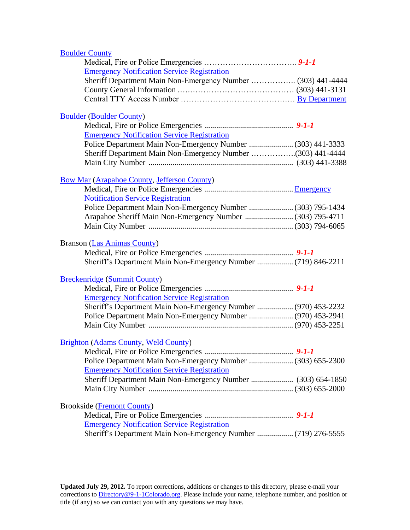| <b>Boulder County</b>                                          |  |
|----------------------------------------------------------------|--|
|                                                                |  |
| <b>Emergency Notification Service Registration</b>             |  |
| Sheriff Department Main Non-Emergency Number  (303) 441-4444   |  |
|                                                                |  |
|                                                                |  |
| <b>Boulder (Boulder County)</b>                                |  |
|                                                                |  |
| <b>Emergency Notification Service Registration</b>             |  |
|                                                                |  |
| Sheriff Department Main Non-Emergency Number (303) 441-4444    |  |
|                                                                |  |
| <b>Bow Mar (Arapahoe County, Jefferson County)</b>             |  |
|                                                                |  |
| <b>Notification Service Registration</b>                       |  |
|                                                                |  |
| Arapahoe Sheriff Main Non-Emergency Number  (303) 795-4711     |  |
|                                                                |  |
| Branson (Las Animas County)                                    |  |
|                                                                |  |
| Sheriff's Department Main Non-Emergency Number  (719) 846-2211 |  |
| <b>Breckenridge (Summit County)</b>                            |  |
|                                                                |  |
| <b>Emergency Notification Service Registration</b>             |  |
| Sheriff's Department Main Non-Emergency Number  (970) 453-2232 |  |
| Police Department Main Non-Emergency Number  (970) 453-2941    |  |
|                                                                |  |
|                                                                |  |
| <b>Brighton (Adams County, Weld County)</b>                    |  |
|                                                                |  |
| Police Department Main Non-Emergency Number  (303) 655-2300    |  |
| <b>Emergency Notification Service Registration</b>             |  |
| Sheriff Department Main Non-Emergency Number  (303) 654-1850   |  |
|                                                                |  |
| <b>Brookside</b> ( <i>Fremont County</i> )                     |  |
|                                                                |  |
| <b>Emergency Notification Service Registration</b>             |  |
| Sheriff's Department Main Non-Emergency Number  (719) 276-5555 |  |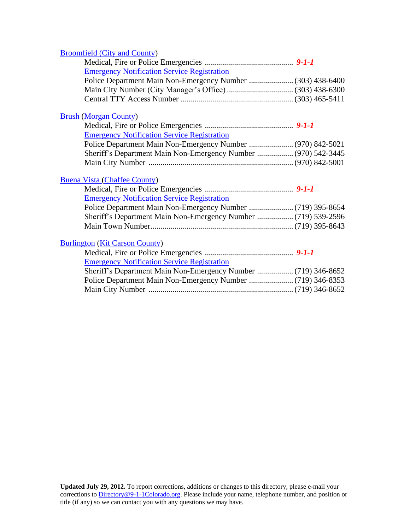## [Broomfield \(City and County\)](http://www.broomfield.org/)

| <b>Emergency Notification Service Registration</b>             |  |
|----------------------------------------------------------------|--|
|                                                                |  |
|                                                                |  |
|                                                                |  |
| <b>Brush (Morgan County)</b>                                   |  |
|                                                                |  |
| <b>Emergency Notification Service Registration</b>             |  |
|                                                                |  |
| Sheriff's Department Main Non-Emergency Number  (970) 542-3445 |  |
|                                                                |  |
|                                                                |  |
| <b>Buena Vista (Chaffee County)</b>                            |  |
|                                                                |  |
| <b>Emergency Notification Service Registration</b>             |  |
| Sheriff's Department Main Non-Emergency Number  (719) 539-2596 |  |
|                                                                |  |
|                                                                |  |
| <b>Burlington (Kit Carson County)</b>                          |  |
|                                                                |  |
| <b>Emergency Notification Service Registration</b>             |  |
| Sheriff's Department Main Non-Emergency Number  (719) 346-8652 |  |
|                                                                |  |
|                                                                |  |
|                                                                |  |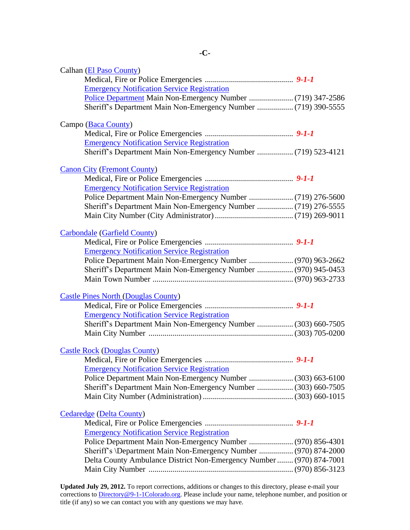<span id="page-7-0"></span>

| Calhan (El Paso County)                                              |  |
|----------------------------------------------------------------------|--|
|                                                                      |  |
| <b>Emergency Notification Service Registration</b>                   |  |
|                                                                      |  |
| Sheriff's Department Main Non-Emergency Number  (719) 390-5555       |  |
|                                                                      |  |
| Campo (Baca County)                                                  |  |
|                                                                      |  |
| <b>Emergency Notification Service Registration</b>                   |  |
| Sheriff's Department Main Non-Emergency Number  (719) 523-4121       |  |
|                                                                      |  |
| <b>Canon City (Fremont County)</b>                                   |  |
| <b>Emergency Notification Service Registration</b>                   |  |
|                                                                      |  |
| Sheriff's Department Main Non-Emergency Number  (719) 276-5555       |  |
|                                                                      |  |
|                                                                      |  |
| <b>Carbondale (Garfield County)</b>                                  |  |
|                                                                      |  |
| <b>Emergency Notification Service Registration</b>                   |  |
| Police Department Main Non-Emergency Number  (970) 963-2662          |  |
| Sheriff's Department Main Non-Emergency Number  (970) 945-0453       |  |
|                                                                      |  |
|                                                                      |  |
| <b>Castle Pines North (Douglas County)</b>                           |  |
|                                                                      |  |
| <b>Emergency Notification Service Registration</b>                   |  |
| Sheriff's Department Main Non-Emergency Number  (303) 660-7505       |  |
|                                                                      |  |
| <b>Castle Rock (Douglas County)</b>                                  |  |
|                                                                      |  |
| <b>Emergency Notification Service Registration</b>                   |  |
| Police Department Main Non-Emergency Number  (303) 663-6100          |  |
| Sheriff's Department Main Non-Emergency Number  (303) 660-7505       |  |
|                                                                      |  |
|                                                                      |  |
| <b>Cedaredge</b> (Delta County)                                      |  |
|                                                                      |  |
| <b>Emergency Notification Service Registration</b>                   |  |
|                                                                      |  |
| Sheriff's \Department Main Non-Emergency Number  (970) 874-2000      |  |
| Delta County Ambulance District Non-Emergency Number  (970) 874-7001 |  |
|                                                                      |  |
|                                                                      |  |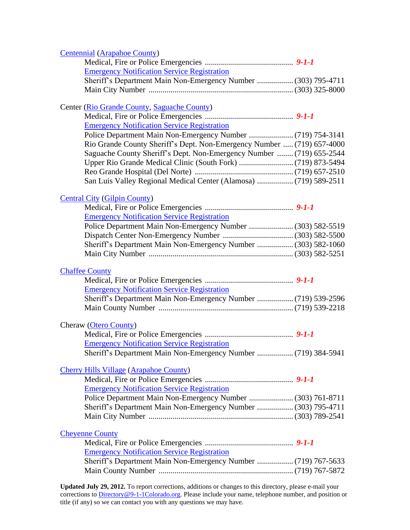<span id="page-8-1"></span><span id="page-8-0"></span>

| <b>Centennial (Arapahoe County)</b>                                    |  |
|------------------------------------------------------------------------|--|
|                                                                        |  |
| <b>Emergency Notification Service Registration</b>                     |  |
| Sheriff's Department Main Non-Emergency Number  (303) 795-4711         |  |
|                                                                        |  |
| Center (Rio Grande County, Saguache County)                            |  |
|                                                                        |  |
| <b>Emergency Notification Service Registration</b>                     |  |
|                                                                        |  |
| Rio Grande County Sheriff's Dept. Non-Emergency Number  (719) 657-4000 |  |
| Saguache County Sheriff's Dept. Non-Emergency Number  (719) 655-2544   |  |
|                                                                        |  |
|                                                                        |  |
| San Luis Valley Regional Medical Center (Alamosa)  (719) 589-2511      |  |
|                                                                        |  |
| <b>Central City (Gilpin County)</b>                                    |  |
|                                                                        |  |
| <b>Emergency Notification Service Registration</b>                     |  |
| Police Department Main Non-Emergency Number  (303) 582-5519            |  |
|                                                                        |  |
| Sheriff's Department Main Non-Emergency Number  (303) 582-1060         |  |
|                                                                        |  |
|                                                                        |  |
|                                                                        |  |
| <b>Chaffee County</b>                                                  |  |
| <b>Emergency Notification Service Registration</b>                     |  |
| Sheriff's Department Main Non-Emergency Number  (719) 539-2596         |  |
|                                                                        |  |
|                                                                        |  |
| <b>Cheraw</b> (Otero County)                                           |  |
|                                                                        |  |
| <b>Emergency Notification Service Registration</b>                     |  |
|                                                                        |  |
| <b>Cherry Hills Village (Arapahoe County)</b>                          |  |
|                                                                        |  |
| <b>Emergency Notification Service Registration</b>                     |  |
| Police Department Main Non-Emergency Number  (303) 761-8711            |  |
| Sheriff's Department Main Non-Emergency Number  (303) 795-4711         |  |
|                                                                        |  |
|                                                                        |  |
| <b>Cheyenne County</b>                                                 |  |
|                                                                        |  |
| <b>Emergency Notification Service Registration</b>                     |  |
| Sheriff's Department Main Non-Emergency Number  (719) 767-5633         |  |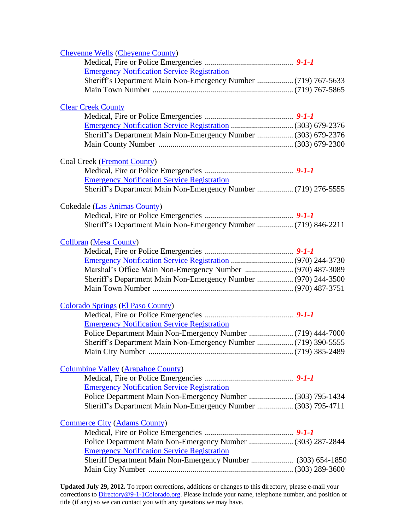<span id="page-9-0"></span>

| <b>Cheyenne Wells (Cheyenne County)</b>                        |  |
|----------------------------------------------------------------|--|
|                                                                |  |
| <b>Emergency Notification Service Registration</b>             |  |
| Sheriff's Department Main Non-Emergency Number  (719) 767-5633 |  |
|                                                                |  |
|                                                                |  |
| <b>Clear Creek County</b>                                      |  |
|                                                                |  |
|                                                                |  |
| Sheriff's Department Main Non-Emergency Number  (303) 679-2376 |  |
|                                                                |  |
|                                                                |  |
| <b>Coal Creek (Fremont County)</b>                             |  |
|                                                                |  |
| <b>Emergency Notification Service Registration</b>             |  |
| Sheriff's Department Main Non-Emergency Number  (719) 276-5555 |  |
|                                                                |  |
| <b>Cokedale (Las Animas County)</b>                            |  |
|                                                                |  |
|                                                                |  |
|                                                                |  |
| <b>Collbran (Mesa County)</b>                                  |  |
|                                                                |  |
|                                                                |  |
|                                                                |  |
| Sheriff's Department Main Non-Emergency Number  (970) 244-3500 |  |
|                                                                |  |
|                                                                |  |
| <b>Colorado Springs (El Paso County)</b>                       |  |
|                                                                |  |
|                                                                |  |
| <b>Emergency Notification Service Registration</b>             |  |
|                                                                |  |
| Sheriff's Department Main Non-Emergency Number  (719) 390-5555 |  |
|                                                                |  |
|                                                                |  |
| <b>Columbine Valley (Arapahoe County)</b>                      |  |
|                                                                |  |
| <b>Emergency Notification Service Registration</b>             |  |
| Police Department Main Non-Emergency Number  (303) 795-1434    |  |
| Sheriff's Department Main Non-Emergency Number  (303) 795-4711 |  |
|                                                                |  |
| <b>Commerce City (Adams County)</b>                            |  |
|                                                                |  |
| Police Department Main Non-Emergency Number  (303) 287-2844    |  |
| <b>Emergency Notification Service Registration</b>             |  |
| Sheriff Department Main Non-Emergency Number  (303) 654-1850   |  |
|                                                                |  |
|                                                                |  |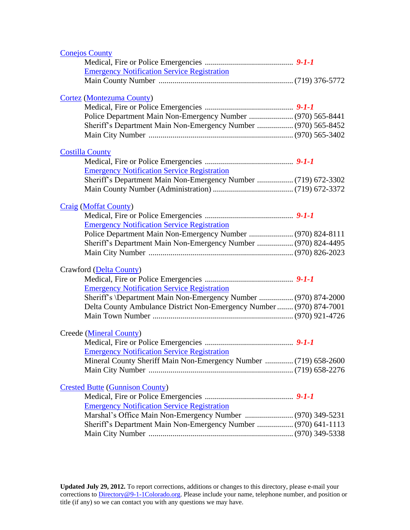<span id="page-10-1"></span><span id="page-10-0"></span>

| <b>Conejos County</b>                                                |  |
|----------------------------------------------------------------------|--|
|                                                                      |  |
| <b>Emergency Notification Service Registration</b>                   |  |
|                                                                      |  |
| <b>Cortez (Montezuma County)</b>                                     |  |
|                                                                      |  |
| Police Department Main Non-Emergency Number  (970) 565-8441          |  |
| Sheriff's Department Main Non-Emergency Number  (970) 565-8452       |  |
|                                                                      |  |
| <b>Costilla County</b>                                               |  |
|                                                                      |  |
| <b>Emergency Notification Service Registration</b>                   |  |
| Sheriff's Department Main Non-Emergency Number  (719) 672-3302       |  |
|                                                                      |  |
| <b>Craig (Moffat County)</b>                                         |  |
|                                                                      |  |
| <b>Emergency Notification Service Registration</b>                   |  |
|                                                                      |  |
| Sheriff's Department Main Non-Emergency Number  (970) 824-4495       |  |
|                                                                      |  |
| Crawford (Delta County)                                              |  |
|                                                                      |  |
| <b>Emergency Notification Service Registration</b>                   |  |
| Sheriff's \Department Main Non-Emergency Number  (970) 874-2000      |  |
| Delta County Ambulance District Non-Emergency Number  (970) 874-7001 |  |
|                                                                      |  |
|                                                                      |  |
| Creede (Mineral County)                                              |  |
|                                                                      |  |
| <b>Emergency Notification Service Registration</b>                   |  |
| Mineral County Sheriff Main Non-Emergency Number  (719) 658-2600     |  |
|                                                                      |  |
| <b>Crested Butte (Gunnison County)</b>                               |  |
|                                                                      |  |
| <b>Emergency Notification Service Registration</b>                   |  |
|                                                                      |  |
| Sheriff's Department Main Non-Emergency Number  (970) 641-1113       |  |
|                                                                      |  |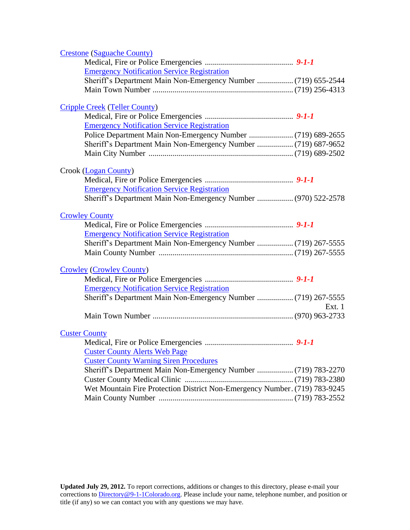<span id="page-11-1"></span><span id="page-11-0"></span>

| <b>Crestone (Saguache County)</b>                                          |        |
|----------------------------------------------------------------------------|--------|
|                                                                            |        |
| <b>Emergency Notification Service Registration</b>                         |        |
| Sheriff's Department Main Non-Emergency Number  (719) 655-2544             |        |
|                                                                            |        |
| <b>Cripple Creek (Teller County)</b>                                       |        |
|                                                                            |        |
| <b>Emergency Notification Service Registration</b>                         |        |
|                                                                            |        |
|                                                                            |        |
|                                                                            |        |
| Crook (Logan County)                                                       |        |
|                                                                            |        |
| <b>Emergency Notification Service Registration</b>                         |        |
| Sheriff's Department Main Non-Emergency Number  (970) 522-2578             |        |
| <b>Crowley County</b>                                                      |        |
|                                                                            |        |
| <b>Emergency Notification Service Registration</b>                         |        |
| Sheriff's Department Main Non-Emergency Number  (719) 267-5555             |        |
|                                                                            |        |
| <b>Crowley (Crowley County)</b>                                            |        |
|                                                                            |        |
| <b>Emergency Notification Service Registration</b>                         |        |
| Sheriff's Department Main Non-Emergency Number  (719) 267-5555             | Ext. 1 |
|                                                                            |        |
|                                                                            |        |
| <b>Custer County</b>                                                       |        |
|                                                                            |        |
| <b>Custer County Alerts Web Page</b>                                       |        |
| <b>Custer County Warning Siren Procedures</b>                              |        |
| Sheriff's Department Main Non-Emergency Number  (719) 783-2270             |        |
|                                                                            |        |
| Wet Mountain Fire Protection District Non-Emergency Number. (719) 783-9245 |        |
|                                                                            |        |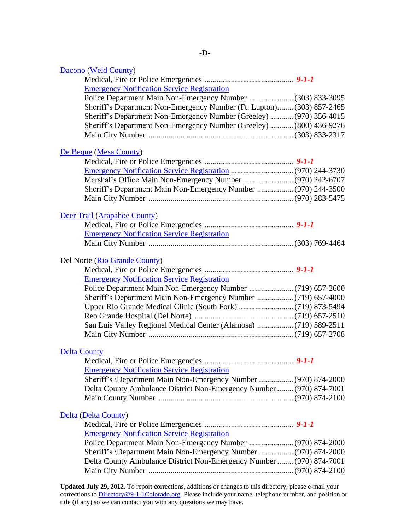<span id="page-12-1"></span><span id="page-12-0"></span>

| Dacono (Weld County)                                                  |  |
|-----------------------------------------------------------------------|--|
|                                                                       |  |
| <b>Emergency Notification Service Registration</b>                    |  |
| Police Department Main Non-Emergency Number  (303) 833-3095           |  |
| Sheriff's Department Non-Emergency Number (Ft. Lupton) (303) 857-2465 |  |
| Sheriff's Department Non-Emergency Number (Greeley) (970) 356-4015    |  |
| Sheriff's Department Non-Emergency Number (Greeley) (800) 436-9276    |  |
|                                                                       |  |
|                                                                       |  |
| De Beque (Mesa County)                                                |  |
|                                                                       |  |
|                                                                       |  |
|                                                                       |  |
| Sheriff's Department Main Non-Emergency Number  (970) 244-3500        |  |
|                                                                       |  |
|                                                                       |  |
| Deer Trail (Arapahoe County)                                          |  |
| <b>Emergency Notification Service Registration</b>                    |  |
|                                                                       |  |
|                                                                       |  |
| Del Norte (Rio Grande County)                                         |  |
|                                                                       |  |
| <b>Emergency Notification Service Registration</b>                    |  |
|                                                                       |  |
|                                                                       |  |
|                                                                       |  |
|                                                                       |  |
| San Luis Valley Regional Medical Center (Alamosa)  (719) 589-2511     |  |
|                                                                       |  |
|                                                                       |  |
| <b>Delta County</b>                                                   |  |
|                                                                       |  |
| <b>Emergency Notification Service Registration</b>                    |  |
| Sheriff's \Department Main Non-Emergency Number  (970) 874-2000       |  |
| Delta County Ambulance District Non-Emergency Number  (970) 874-7001  |  |
|                                                                       |  |
|                                                                       |  |
| Delta (Delta County)                                                  |  |
|                                                                       |  |
| <b>Emergency Notification Service Registration</b>                    |  |
|                                                                       |  |
| Sheriff's \Department Main Non-Emergency Number  (970) 874-2000       |  |
| Delta County Ambulance District Non-Emergency Number  (970) 874-7001  |  |
|                                                                       |  |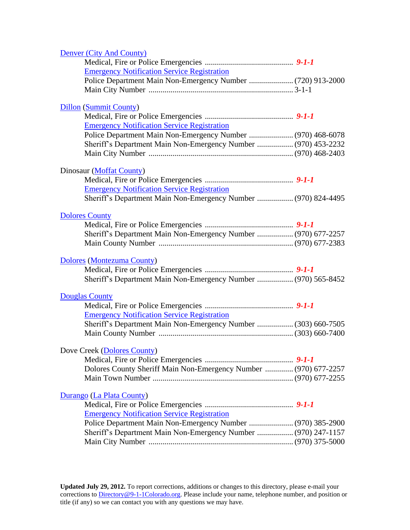<span id="page-13-1"></span><span id="page-13-0"></span>

| Denver (City And County)                                         |  |
|------------------------------------------------------------------|--|
|                                                                  |  |
| <b>Emergency Notification Service Registration</b>               |  |
|                                                                  |  |
|                                                                  |  |
|                                                                  |  |
| <b>Dillon</b> (Summit County)                                    |  |
|                                                                  |  |
| <b>Emergency Notification Service Registration</b>               |  |
|                                                                  |  |
| Sheriff's Department Main Non-Emergency Number  (970) 453-2232   |  |
|                                                                  |  |
|                                                                  |  |
| Dinosaur (Moffat County)                                         |  |
|                                                                  |  |
| <b>Emergency Notification Service Registration</b>               |  |
| Sheriff's Department Main Non-Emergency Number  (970) 824-4495   |  |
|                                                                  |  |
| <b>Dolores County</b>                                            |  |
|                                                                  |  |
| Sheriff's Department Main Non-Emergency Number  (970) 677-2257   |  |
|                                                                  |  |
|                                                                  |  |
| Dolores (Montezuma County)                                       |  |
|                                                                  |  |
| Sheriff's Department Main Non-Emergency Number  (970) 565-8452   |  |
| <b>Douglas County</b>                                            |  |
|                                                                  |  |
| <b>Emergency Notification Service Registration</b>               |  |
|                                                                  |  |
|                                                                  |  |
| Sheriff's Department Main Non-Emergency Number  (303) 660-7505   |  |
|                                                                  |  |
|                                                                  |  |
| Dove Creek (Dolores County)                                      |  |
|                                                                  |  |
| Dolores County Sheriff Main Non-Emergency Number  (970) 677-2257 |  |
|                                                                  |  |
|                                                                  |  |
| Durango (La Plata County)                                        |  |
|                                                                  |  |
| <b>Emergency Notification Service Registration</b>               |  |
| Police Department Main Non-Emergency Number  (970) 385-2900      |  |
| Sheriff's Department Main Non-Emergency Number  (970) 247-1157   |  |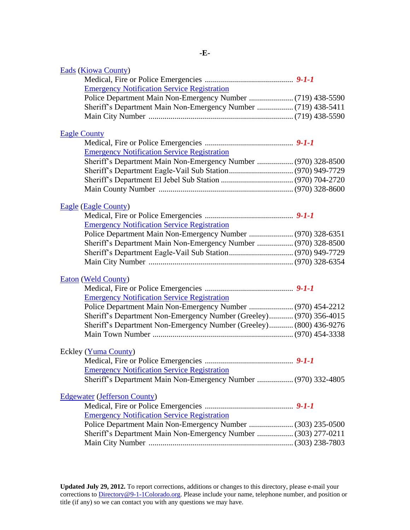<span id="page-14-2"></span><span id="page-14-1"></span><span id="page-14-0"></span>

| <b>Eads (Kiowa County)</b>                                         |  |
|--------------------------------------------------------------------|--|
|                                                                    |  |
| <b>Emergency Notification Service Registration</b>                 |  |
|                                                                    |  |
| Sheriff's Department Main Non-Emergency Number  (719) 438-5411     |  |
|                                                                    |  |
|                                                                    |  |
| <b>Eagle County</b>                                                |  |
| <b>Emergency Notification Service Registration</b>                 |  |
| Sheriff's Department Main Non-Emergency Number  (970) 328-8500     |  |
|                                                                    |  |
|                                                                    |  |
|                                                                    |  |
|                                                                    |  |
| <b>Eagle (Eagle County)</b>                                        |  |
|                                                                    |  |
| <b>Emergency Notification Service Registration</b>                 |  |
|                                                                    |  |
| Sheriff's Department Main Non-Emergency Number  (970) 328-8500     |  |
|                                                                    |  |
|                                                                    |  |
|                                                                    |  |
| <b>Eaton (Weld County)</b>                                         |  |
| <b>Emergency Notification Service Registration</b>                 |  |
|                                                                    |  |
| Police Department Main Non-Emergency Number  (970) 454-2212        |  |
| Sheriff's Department Non-Emergency Number (Greeley) (970) 356-4015 |  |
| Sheriff's Department Non-Emergency Number (Greeley) (800) 436-9276 |  |
|                                                                    |  |
| Eckley (Yuma County)                                               |  |
|                                                                    |  |
| <b>Emergency Notification Service Registration</b>                 |  |
| Sheriff's Department Main Non-Emergency Number  (970) 332-4805     |  |
|                                                                    |  |
| <b>Edgewater (Jefferson County)</b>                                |  |
|                                                                    |  |
| <b>Emergency Notification Service Registration</b>                 |  |
| Police Department Main Non-Emergency Number  (303) 235-0500        |  |
| Sheriff's Department Main Non-Emergency Number  (303) 277-0211     |  |
|                                                                    |  |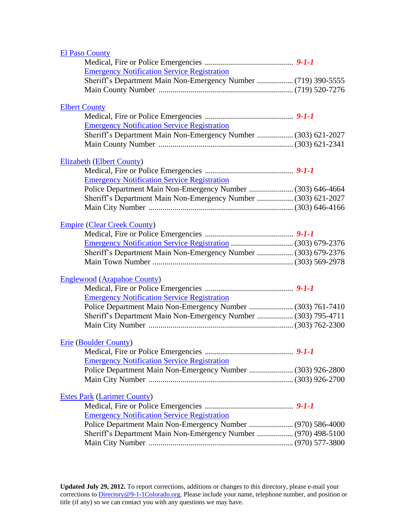<span id="page-15-0"></span>

| <b>El Paso County</b>                                          |  |
|----------------------------------------------------------------|--|
|                                                                |  |
| <b>Emergency Notification Service Registration</b>             |  |
| Sheriff's Department Main Non-Emergency Number  (719) 390-5555 |  |
|                                                                |  |
|                                                                |  |
| <b>Elbert County</b>                                           |  |
|                                                                |  |
| <b>Emergency Notification Service Registration</b>             |  |
| Sheriff's Department Main Non-Emergency Number  (303) 621-2027 |  |
|                                                                |  |
| <b>Elizabeth (Elbert County)</b>                               |  |
|                                                                |  |
| <b>Emergency Notification Service Registration</b>             |  |
| Police Department Main Non-Emergency Number  (303) 646-4664    |  |
| Sheriff's Department Main Non-Emergency Number  (303) 621-2027 |  |
|                                                                |  |
|                                                                |  |
| <b>Empire (Clear Creek County)</b>                             |  |
|                                                                |  |
|                                                                |  |
| Sheriff's Department Main Non-Emergency Number  (303) 679-2376 |  |
|                                                                |  |
| <b>Englewood (Arapahoe County)</b>                             |  |
|                                                                |  |
| <b>Emergency Notification Service Registration</b>             |  |
| Police Department Main Non-Emergency Number  (303) 761-7410    |  |
| Sheriff's Department Main Non-Emergency Number  (303) 795-4711 |  |
|                                                                |  |
|                                                                |  |
| <b>Erie (Boulder County)</b>                                   |  |
|                                                                |  |
| <b>Emergency Notification Service Registration</b>             |  |
| Police Department Main Non-Emergency Number  (303) 926-2800    |  |
|                                                                |  |
|                                                                |  |
| <b>Estes Park (Larimer County)</b>                             |  |
|                                                                |  |
| <b>Emergency Notification Service Registration</b>             |  |
| Police Department Main Non-Emergency Number  (970) 586-4000    |  |
| Sheriff's Department Main Non-Emergency Number  (970) 498-5100 |  |
|                                                                |  |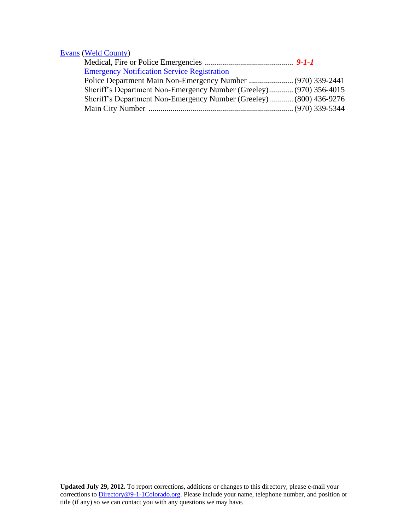## [Evans](http://www.cityofevans.org/) [\(Weld County\)](#page-53-2)

| <b>Emergency Notification Service Registration</b>                 |  |
|--------------------------------------------------------------------|--|
|                                                                    |  |
| Sheriff's Department Non-Emergency Number (Greeley) (970) 356-4015 |  |
| Sheriff's Department Non-Emergency Number (Greeley) (800) 436-9276 |  |
|                                                                    |  |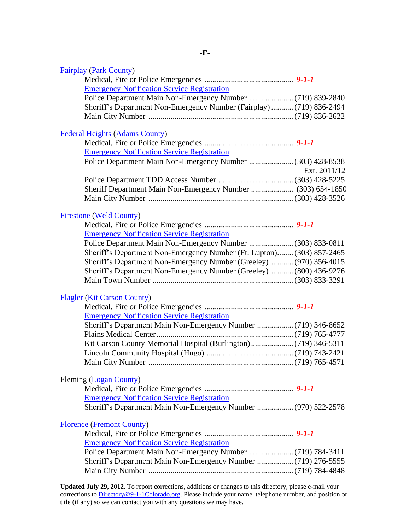<span id="page-17-0"></span>

| <b>Fairplay (Park County)</b>                                         |              |
|-----------------------------------------------------------------------|--------------|
|                                                                       |              |
| <b>Emergency Notification Service Registration</b>                    |              |
|                                                                       |              |
| Sheriff's Department Non-Emergency Number (Fairplay)  (719) 836-2494  |              |
|                                                                       |              |
| <b>Federal Heights (Adams County)</b>                                 |              |
|                                                                       |              |
| <b>Emergency Notification Service Registration</b>                    |              |
| Police Department Main Non-Emergency Number  (303) 428-8538           | Ext. 2011/12 |
|                                                                       |              |
| Sheriff Department Main Non-Emergency Number  (303) 654-1850          |              |
|                                                                       |              |
| <b>Firestone (Weld County)</b>                                        |              |
|                                                                       |              |
| <b>Emergency Notification Service Registration</b>                    |              |
| Police Department Main Non-Emergency Number  (303) 833-0811           |              |
| Sheriff's Department Non-Emergency Number (Ft. Lupton) (303) 857-2465 |              |
| Sheriff's Department Non-Emergency Number (Greeley) (970) 356-4015    |              |
| Sheriff's Department Non-Emergency Number (Greeley) (800) 436-9276    |              |
|                                                                       |              |
| <b>Flagler</b> (Kit Carson County)                                    |              |
|                                                                       |              |
| <b>Emergency Notification Service Registration</b>                    |              |
|                                                                       |              |
|                                                                       |              |
|                                                                       |              |
|                                                                       |              |
|                                                                       |              |
| Fleming (Logan County)                                                |              |
|                                                                       |              |
| <b>Emergency Notification Service Registration</b>                    |              |
| Sheriff's Department Main Non-Emergency Number  (970) 522-2578        |              |
| <b>Florence (Fremont County)</b>                                      |              |
|                                                                       |              |
| <b>Emergency Notification Service Registration</b>                    |              |
|                                                                       |              |
|                                                                       |              |
|                                                                       |              |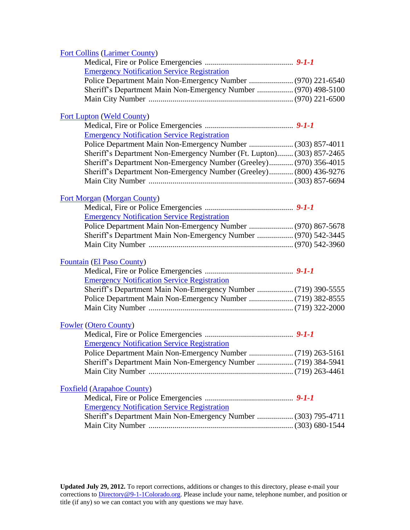### [Fort Collins](http://www.ci.fort-collins.co.us/) [\(Larimer County\)](#page-31-1)

| <b>Emergency Notification Service Registration</b> |  |
|----------------------------------------------------|--|
|                                                    |  |
|                                                    |  |
|                                                    |  |
|                                                    |  |

### [Fort Lupton](http://www.fortlupton.org/) [\(Weld County\)](#page-53-2)

| <b>Emergency Notification Service Registration</b>                    |  |
|-----------------------------------------------------------------------|--|
|                                                                       |  |
| Sheriff's Department Non-Emergency Number (Ft. Lupton) (303) 857-2465 |  |
| Sheriff's Department Non-Emergency Number (Greeley) (970) 356-4015    |  |
| Sheriff's Department Non-Emergency Number (Greeley) (800) 436-9276    |  |
|                                                                       |  |

### [Fort Morgan](http://www.cityoffortmorgan.com/) [\(Morgan County\)](#page-36-0)

| <b>Emergency Notification Service Registration</b> |  |
|----------------------------------------------------|--|

### [Fountain](http://www.ci.fountain.co.us/) [\(El Paso County\)](#page-14-2)

| <b>Emergency Notification Service Registration</b> |  |
|----------------------------------------------------|--|
|                                                    |  |
|                                                    |  |
|                                                    |  |

## [Fowler](http://www.fowlercolorado.com/) [\(Otero County\)](#page-39-1)

| <b>Emergency Notification Service Registration</b> |  |
|----------------------------------------------------|--|
|                                                    |  |
|                                                    |  |
|                                                    |  |

## [Foxfield](http://www.foxfieldco.us/) [\(Arapahoe County\)](#page-1-0)

| <b>Emergency Notification Service Registration</b> |  |
|----------------------------------------------------|--|
|                                                    |  |
|                                                    |  |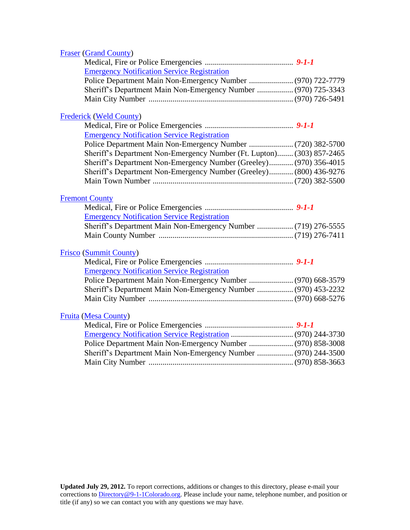<span id="page-19-0"></span>

| <b>Fraser (Grand County)</b>                                          |  |
|-----------------------------------------------------------------------|--|
|                                                                       |  |
| <b>Emergency Notification Service Registration</b>                    |  |
| Police Department Main Non-Emergency Number  (970) 722-7779           |  |
| Sheriff's Department Main Non-Emergency Number  (970) 725-3343        |  |
|                                                                       |  |
|                                                                       |  |
| <b>Frederick (Weld County)</b>                                        |  |
|                                                                       |  |
| <b>Emergency Notification Service Registration</b>                    |  |
|                                                                       |  |
| Sheriff's Department Non-Emergency Number (Ft. Lupton) (303) 857-2465 |  |
| Sheriff's Department Non-Emergency Number (Greeley) (970) 356-4015    |  |
| Sheriff's Department Non-Emergency Number (Greeley) (800) 436-9276    |  |
|                                                                       |  |
|                                                                       |  |
| <b>Fremont County</b>                                                 |  |
|                                                                       |  |
| <b>Emergency Notification Service Registration</b>                    |  |
| Sheriff's Department Main Non-Emergency Number  (719) 276-5555        |  |
|                                                                       |  |
| <b>Frisco (Summit County)</b>                                         |  |
|                                                                       |  |
| <b>Emergency Notification Service Registration</b>                    |  |
|                                                                       |  |
| Sheriff's Department Main Non-Emergency Number  (970) 453-2232        |  |
|                                                                       |  |
|                                                                       |  |
| <b>Fruita (Mesa County)</b>                                           |  |
|                                                                       |  |
|                                                                       |  |
|                                                                       |  |
| Sheriff's Department Main Non-Emergency Number  (970) 244-3500        |  |
|                                                                       |  |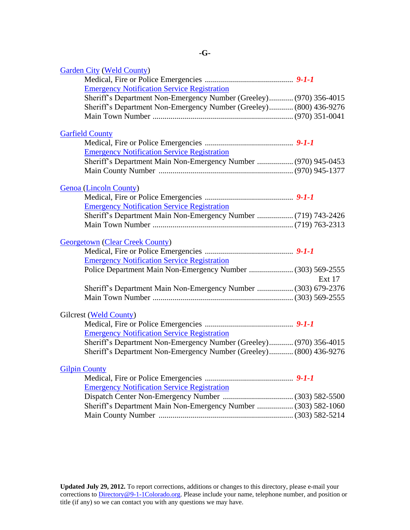<span id="page-20-2"></span><span id="page-20-1"></span><span id="page-20-0"></span>

| <b>Garden City (Weld County)</b>                                   |               |
|--------------------------------------------------------------------|---------------|
|                                                                    |               |
| <b>Emergency Notification Service Registration</b>                 |               |
| Sheriff's Department Non-Emergency Number (Greeley) (970) 356-4015 |               |
| Sheriff's Department Non-Emergency Number (Greeley) (800) 436-9276 |               |
|                                                                    |               |
|                                                                    |               |
| <b>Garfield County</b>                                             |               |
|                                                                    |               |
| <b>Emergency Notification Service Registration</b>                 |               |
| Sheriff's Department Main Non-Emergency Number  (970) 945-0453     |               |
|                                                                    |               |
| <b>Genoa</b> (Lincoln County)                                      |               |
|                                                                    |               |
| <b>Emergency Notification Service Registration</b>                 |               |
|                                                                    |               |
|                                                                    |               |
| <b>Georgetown (Clear Creek County)</b>                             |               |
|                                                                    |               |
| <b>Emergency Notification Service Registration</b>                 |               |
| Police Department Main Non-Emergency Number  (303) 569-2555        |               |
|                                                                    | <b>Ext 17</b> |
| Sheriff's Department Main Non-Emergency Number  (303) 679-2376     |               |
|                                                                    |               |
|                                                                    |               |
| Gilcrest (Weld County)                                             |               |
|                                                                    |               |
| <b>Emergency Notification Service Registration</b>                 |               |
| Sheriff's Department Non-Emergency Number (Greeley) (970) 356-4015 |               |
| Sheriff's Department Non-Emergency Number (Greeley) (800) 436-9276 |               |
|                                                                    |               |
| <b>Gilpin County</b>                                               |               |
|                                                                    |               |
| <b>Emergency Notification Service Registration</b>                 |               |
|                                                                    |               |
| Sheriff's Department Main Non-Emergency Number  (303) 582-1060     |               |
|                                                                    |               |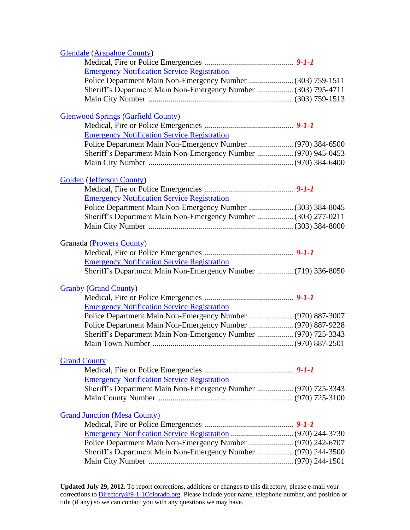<span id="page-21-0"></span>

| <b>Glendale (Arapahoe County)</b>                              |  |
|----------------------------------------------------------------|--|
|                                                                |  |
| <b>Emergency Notification Service Registration</b>             |  |
|                                                                |  |
| Sheriff's Department Main Non-Emergency Number  (303) 795-4711 |  |
|                                                                |  |
| <b>Glenwood Springs (Garfield County)</b>                      |  |
|                                                                |  |
| <b>Emergency Notification Service Registration</b>             |  |
| Police Department Main Non-Emergency Number  (970) 384-6500    |  |
| Sheriff's Department Main Non-Emergency Number  (970) 945-0453 |  |
|                                                                |  |
| <b>Golden</b> (Jefferson County)                               |  |
|                                                                |  |
| <b>Emergency Notification Service Registration</b>             |  |
|                                                                |  |
| Sheriff's Department Main Non-Emergency Number  (303) 277-0211 |  |
|                                                                |  |
|                                                                |  |
| Granada (Prowers County)                                       |  |
|                                                                |  |
| <b>Emergency Notification Service Registration</b>             |  |
| Sheriff's Department Main Non-Emergency Number  (719) 336-8050 |  |
| <b>Granby (Grand County)</b>                                   |  |
|                                                                |  |
| <b>Emergency Notification Service Registration</b>             |  |
| Police Department Main Non-Emergency Number  (970) 887-3007    |  |
| Police Department Main Non-Emergency Number  (970) 887-9228    |  |
| Sheriff's Department Main Non-Emergency Number  (970) 725-3343 |  |
|                                                                |  |
|                                                                |  |
| <b>Grand County</b>                                            |  |
|                                                                |  |
| <b>Emergency Notification Service Registration</b>             |  |
| Sheriff's Department Main Non-Emergency Number  (970) 725-3343 |  |
|                                                                |  |
| <b>Grand Junction (Mesa County)</b>                            |  |
|                                                                |  |
|                                                                |  |
| Police Department Main Non-Emergency Number  (970) 242-6707    |  |
| Sheriff's Department Main Non-Emergency Number  (970) 244-3500 |  |
|                                                                |  |
|                                                                |  |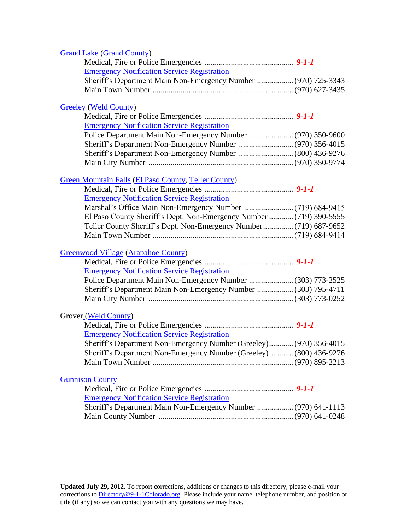<span id="page-22-0"></span>

| <b>Grand Lake (Grand County)</b>                                    |  |
|---------------------------------------------------------------------|--|
|                                                                     |  |
| <b>Emergency Notification Service Registration</b>                  |  |
| Sheriff's Department Main Non-Emergency Number  (970) 725-3343      |  |
|                                                                     |  |
| <b>Greeley (Weld County)</b>                                        |  |
|                                                                     |  |
| <b>Emergency Notification Service Registration</b>                  |  |
| Police Department Main Non-Emergency Number  (970) 350-9600         |  |
|                                                                     |  |
|                                                                     |  |
|                                                                     |  |
| Green Mountain Falls (El Paso County, Teller County)                |  |
|                                                                     |  |
| <b>Emergency Notification Service Registration</b>                  |  |
|                                                                     |  |
| El Paso County Sheriff's Dept. Non-Emergency Number  (719) 390-5555 |  |
| Teller County Sheriff's Dept. Non-Emergency Number (719) 687-9652   |  |
|                                                                     |  |
| <b>Greenwood Village (Arapahoe County)</b>                          |  |
|                                                                     |  |
| <b>Emergency Notification Service Registration</b>                  |  |
| Police Department Main Non-Emergency Number  (303) 773-2525         |  |
| Sheriff's Department Main Non-Emergency Number  (303) 795-4711      |  |
|                                                                     |  |
| Grover <sub>(Weld County)</sub>                                     |  |
|                                                                     |  |
| <b>Emergency Notification Service Registration</b>                  |  |
| Sheriff's Department Non-Emergency Number (Greeley) (970) 356-4015  |  |
| Sheriff's Department Non-Emergency Number (Greeley) (800) 436-9276  |  |
|                                                                     |  |
| <b>Gunnison County</b>                                              |  |
|                                                                     |  |
| <b>Emergency Notification Service Registration</b>                  |  |
| Sheriff's Department Main Non-Emergency Number  (970) 641-1113      |  |
|                                                                     |  |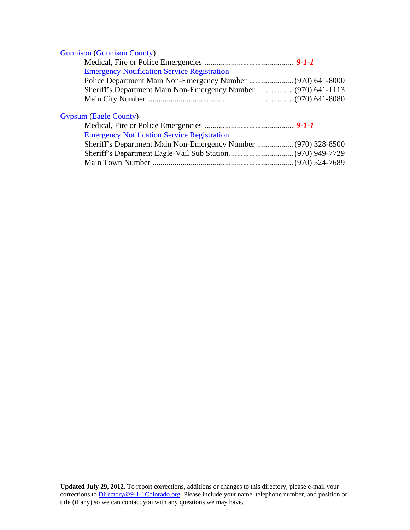### [Gunnison](http://www.cityofgunnison-co.gov/) [\(Gunnison County\)](#page-22-0)

| <b>Emergency Notification Service Registration</b> |  |
|----------------------------------------------------|--|
|                                                    |  |
|                                                    |  |
|                                                    |  |
|                                                    |  |

## [Gypsum](http://www.townofgypsum.com/) [\(Eagle County\)](#page-14-1)

| <b>Emergency Notification Service Registration</b> |  |
|----------------------------------------------------|--|
|                                                    |  |
|                                                    |  |
|                                                    |  |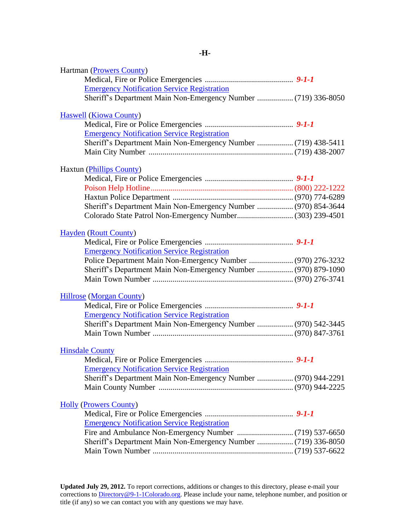<span id="page-24-1"></span><span id="page-24-0"></span>

| <b>Hartman (Prowers County)</b>                                |  |
|----------------------------------------------------------------|--|
|                                                                |  |
| <b>Emergency Notification Service Registration</b>             |  |
| Sheriff's Department Main Non-Emergency Number  (719) 336-8050 |  |
| <b>Haswell (Kiowa County)</b>                                  |  |
|                                                                |  |
| <b>Emergency Notification Service Registration</b>             |  |
| Sheriff's Department Main Non-Emergency Number  (719) 438-5411 |  |
|                                                                |  |
| <b>Haxtun (Phillips County)</b>                                |  |
|                                                                |  |
|                                                                |  |
|                                                                |  |
| Sheriff's Department Main Non-Emergency Number  (970) 854-3644 |  |
|                                                                |  |
| <b>Hayden (Routt County)</b>                                   |  |
|                                                                |  |
| <b>Emergency Notification Service Registration</b>             |  |
| Police Department Main Non-Emergency Number  (970) 276-3232    |  |
| Sheriff's Department Main Non-Emergency Number  (970) 879-1090 |  |
|                                                                |  |
| <b>Hillrose</b> (Morgan County)                                |  |
|                                                                |  |
| <b>Emergency Notification Service Registration</b>             |  |
| Sheriff's Department Main Non-Emergency Number  (970) 542-3445 |  |
|                                                                |  |
| <b>Hinsdale County</b>                                         |  |
|                                                                |  |
| <b>Emergency Notification Service Registration</b>             |  |
| Sheriff's Department Main Non-Emergency Number  (970) 944-2291 |  |
|                                                                |  |
| <b>Holly (Prowers County)</b>                                  |  |
|                                                                |  |
| <b>Emergency Notification Service Registration</b>             |  |
|                                                                |  |
| Sheriff's Department Main Non-Emergency Number  (719) 336-8050 |  |
|                                                                |  |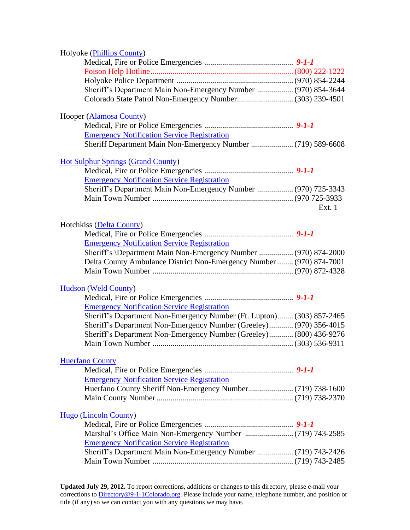<span id="page-25-0"></span>

| Holyoke (Phillips County)                                             |        |
|-----------------------------------------------------------------------|--------|
|                                                                       |        |
|                                                                       |        |
|                                                                       |        |
| Sheriff's Department Main Non-Emergency Number  (970) 854-3644        |        |
|                                                                       |        |
|                                                                       |        |
| Hooper (Alamosa County)                                               |        |
|                                                                       |        |
| <b>Emergency Notification Service Registration</b>                    |        |
|                                                                       |        |
|                                                                       |        |
| <b>Hot Sulphur Springs (Grand County)</b>                             |        |
|                                                                       |        |
| <b>Emergency Notification Service Registration</b>                    |        |
| Sheriff's Department Main Non-Emergency Number  (970) 725-3343        |        |
|                                                                       |        |
|                                                                       | Ext. 1 |
|                                                                       |        |
| Hotchkiss (Delta County)                                              |        |
|                                                                       |        |
| <b>Emergency Notification Service Registration</b>                    |        |
| Sheriff's \Department Main Non-Emergency Number  (970) 874-2000       |        |
| Delta County Ambulance District Non-Emergency Number  (970) 874-7001  |        |
|                                                                       |        |
|                                                                       |        |
| <b>Hudson</b> (Weld County)                                           |        |
|                                                                       |        |
| <b>Emergency Notification Service Registration</b>                    |        |
| Sheriff's Department Non-Emergency Number (Ft. Lupton) (303) 857-2465 |        |
| Sheriff's Department Non-Emergency Number (Greeley) (970) 356-4015    |        |
| Sheriff's Department Non-Emergency Number (Greeley) (800) 436-9276    |        |
|                                                                       |        |
|                                                                       |        |
| <b>Huerfano County</b>                                                |        |
|                                                                       |        |
| <b>Emergency Notification Service Registration</b>                    |        |
|                                                                       |        |
|                                                                       |        |
|                                                                       |        |
| <b>Hugo</b> (Lincoln County)                                          |        |
|                                                                       |        |
| <b>Emergency Notification Service Registration</b>                    |        |
|                                                                       |        |
|                                                                       |        |
|                                                                       |        |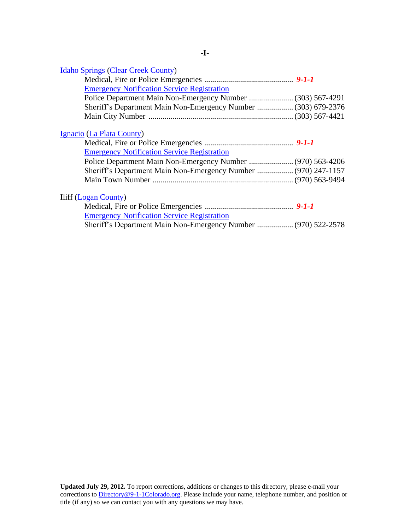<span id="page-26-0"></span>

| <b>Idaho Springs (Clear Creek County)</b>                      |  |
|----------------------------------------------------------------|--|
|                                                                |  |
| <b>Emergency Notification Service Registration</b>             |  |
|                                                                |  |
| Sheriff's Department Main Non-Emergency Number  (303) 679-2376 |  |
|                                                                |  |
| Ignacio (La Plata County)                                      |  |
|                                                                |  |
| <b>Emergency Notification Service Registration</b>             |  |
|                                                                |  |
| Sheriff's Department Main Non-Emergency Number  (970) 247-1157 |  |
|                                                                |  |
| <b>Iliff</b> (Logan County)                                    |  |
|                                                                |  |
| <b>Emergency Notification Service Registration</b>             |  |
| Sheriff's Department Main Non-Emergency Number  (970) 522-2578 |  |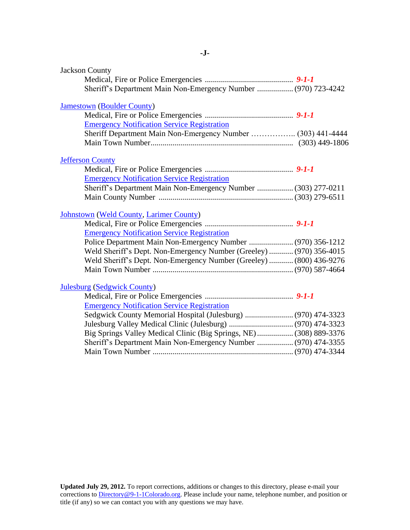<span id="page-27-2"></span><span id="page-27-1"></span><span id="page-27-0"></span>

| <b>Jackson County</b>                                               |  |
|---------------------------------------------------------------------|--|
| Sheriff's Department Main Non-Emergency Number  (970) 723-4242      |  |
| <b>Jamestown</b> (Boulder County)                                   |  |
|                                                                     |  |
| <b>Emergency Notification Service Registration</b>                  |  |
| Sheriff Department Main Non-Emergency Number  (303) 441-4444        |  |
|                                                                     |  |
| <b>Jefferson County</b>                                             |  |
|                                                                     |  |
| <b>Emergency Notification Service Registration</b>                  |  |
| Sheriff's Department Main Non-Emergency Number  (303) 277-0211      |  |
|                                                                     |  |
| <b>Johnstown (Weld County, Larimer County)</b>                      |  |
|                                                                     |  |
| <b>Emergency Notification Service Registration</b>                  |  |
| Police Department Main Non-Emergency Number  (970) 356-1212         |  |
| Weld Sheriff's Dept. Non-Emergency Number (Greeley)  (970) 356-4015 |  |
| Weld Sheriff's Dept. Non-Emergency Number (Greeley)  (800) 436-9276 |  |
|                                                                     |  |
| <b>Julesburg (Sedgwick County)</b>                                  |  |
|                                                                     |  |
| <b>Emergency Notification Service Registration</b>                  |  |
| Sedgwick County Memorial Hospital (Julesburg)  (970) 474-3323       |  |
|                                                                     |  |
| Big Springs Valley Medical Clinic (Big Springs, NE) (308) 889-3376  |  |
| Sheriff's Department Main Non-Emergency Number  (970) 474-3355      |  |
|                                                                     |  |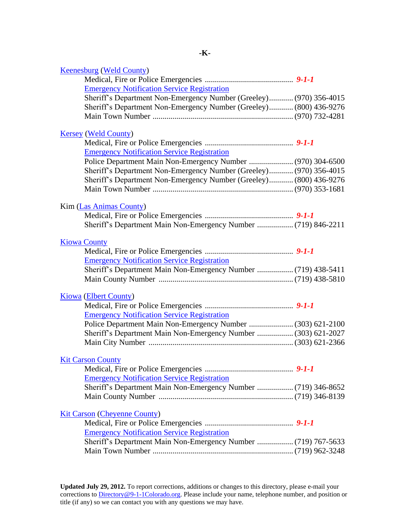<span id="page-28-2"></span><span id="page-28-1"></span><span id="page-28-0"></span>

| Sheriff's Department Non-Emergency Number (Greeley) (970) 356-4015 |
|--------------------------------------------------------------------|
| Sheriff's Department Non-Emergency Number (Greeley) (800) 436-9276 |
|                                                                    |
|                                                                    |
|                                                                    |
|                                                                    |
|                                                                    |
|                                                                    |
| Sheriff's Department Non-Emergency Number (Greeley) (970) 356-4015 |
| Sheriff's Department Non-Emergency Number (Greeley) (800) 436-9276 |
|                                                                    |
|                                                                    |
|                                                                    |
|                                                                    |
|                                                                    |
|                                                                    |
|                                                                    |
|                                                                    |
| Sheriff's Department Main Non-Emergency Number  (719) 438-5411     |
|                                                                    |
|                                                                    |
|                                                                    |
|                                                                    |
|                                                                    |
| Police Department Main Non-Emergency Number  (303) 621-2100        |
| Sheriff's Department Main Non-Emergency Number  (303) 621-2027     |
|                                                                    |
|                                                                    |
|                                                                    |
|                                                                    |
|                                                                    |
| Sheriff's Department Main Non-Emergency Number  (719) 346-8652     |
|                                                                    |
|                                                                    |
|                                                                    |
|                                                                    |
|                                                                    |
| Sheriff's Department Main Non-Emergency Number  (719) 767-5633     |
|                                                                    |
|                                                                    |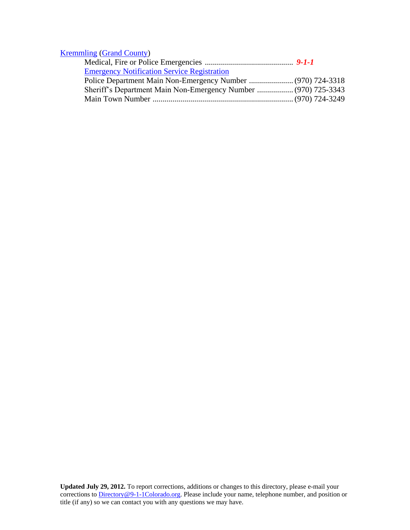## [Kremmling](http://www.townofkremmling.org/) [\(Grand County\)](#page-21-0)

| <b>Emergency Notification Service Registration</b>             |  |
|----------------------------------------------------------------|--|
|                                                                |  |
| Sheriff's Department Main Non-Emergency Number  (970) 725-3343 |  |
|                                                                |  |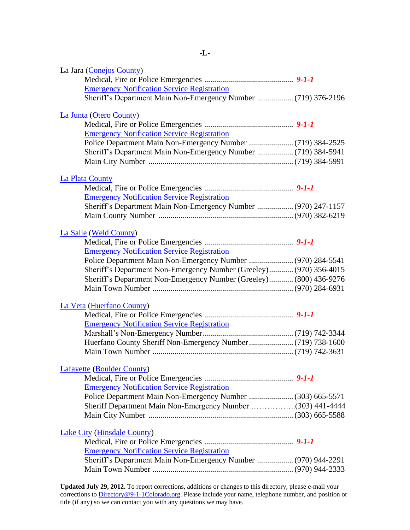<span id="page-30-2"></span><span id="page-30-1"></span><span id="page-30-0"></span>

| La Jara (Conejos County)                                           |  |
|--------------------------------------------------------------------|--|
|                                                                    |  |
| <b>Emergency Notification Service Registration</b>                 |  |
|                                                                    |  |
| La Junta (Otero County)                                            |  |
|                                                                    |  |
| <b>Emergency Notification Service Registration</b>                 |  |
|                                                                    |  |
|                                                                    |  |
|                                                                    |  |
| La Plata County                                                    |  |
|                                                                    |  |
| <b>Emergency Notification Service Registration</b>                 |  |
| Sheriff's Department Main Non-Emergency Number  (970) 247-1157     |  |
|                                                                    |  |
| La Salle (Weld County)                                             |  |
|                                                                    |  |
| <b>Emergency Notification Service Registration</b>                 |  |
| Police Department Main Non-Emergency Number  (970) 284-5541        |  |
| Sheriff's Department Non-Emergency Number (Greeley) (970) 356-4015 |  |
| Sheriff's Department Non-Emergency Number (Greeley) (800) 436-9276 |  |
|                                                                    |  |
| La Veta (Huerfano County)                                          |  |
|                                                                    |  |
| <b>Emergency Notification Service Registration</b>                 |  |
|                                                                    |  |
|                                                                    |  |
|                                                                    |  |
| <b>Lafayette (Boulder County)</b>                                  |  |
|                                                                    |  |
| <b>Emergency Notification Service Registration</b>                 |  |
| Police Department Main Non-Emergency Number  (303) 665-5571        |  |
| Sheriff Department Main Non-Emergency Number (303) 441-4444        |  |
|                                                                    |  |
| <b>Lake City (Hinsdale County)</b>                                 |  |
|                                                                    |  |
| <b>Emergency Notification Service Registration</b>                 |  |
| Sheriff's Department Main Non-Emergency Number  (970) 944-2291     |  |
|                                                                    |  |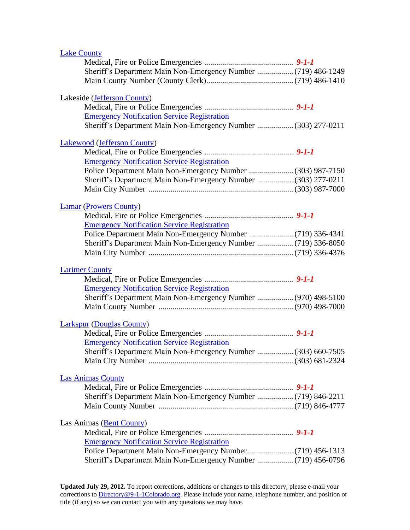<span id="page-31-1"></span><span id="page-31-0"></span>

| <b>Lake County</b>                                             |  |
|----------------------------------------------------------------|--|
|                                                                |  |
| Sheriff's Department Main Non-Emergency Number  (719) 486-1249 |  |
|                                                                |  |
| Lakeside (Jefferson County)                                    |  |
|                                                                |  |
| <b>Emergency Notification Service Registration</b>             |  |
| Sheriff's Department Main Non-Emergency Number  (303) 277-0211 |  |
| <b>Lakewood</b> (Jefferson County)                             |  |
|                                                                |  |
| <b>Emergency Notification Service Registration</b>             |  |
|                                                                |  |
| Sheriff's Department Main Non-Emergency Number  (303) 277-0211 |  |
|                                                                |  |
|                                                                |  |
| <b>Lamar (Prowers County)</b>                                  |  |
|                                                                |  |
| <b>Emergency Notification Service Registration</b>             |  |
|                                                                |  |
|                                                                |  |
|                                                                |  |
| <b>Larimer County</b>                                          |  |
|                                                                |  |
| <b>Emergency Notification Service Registration</b>             |  |
| Sheriff's Department Main Non-Emergency Number  (970) 498-5100 |  |
|                                                                |  |
| <b>Larkspur</b> (Douglas County)                               |  |
|                                                                |  |
| <b>Emergency Notification Service Registration</b>             |  |
| Sheriff's Department Main Non-Emergency Number  (303) 660-7505 |  |
|                                                                |  |
| <b>Las Animas County</b>                                       |  |
|                                                                |  |
| Sheriff's Department Main Non-Emergency Number  (719) 846-2211 |  |
|                                                                |  |
|                                                                |  |
| Las Animas (Bent County)                                       |  |
|                                                                |  |
| <b>Emergency Notification Service Registration</b>             |  |
|                                                                |  |
|                                                                |  |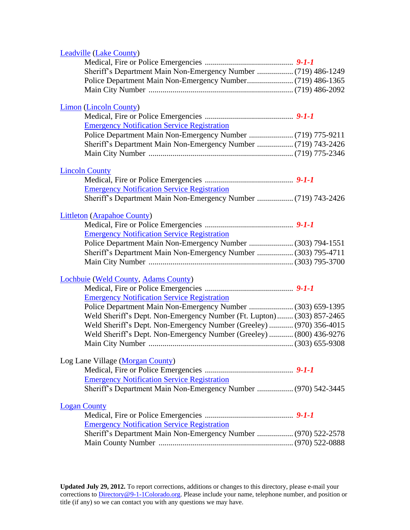<span id="page-32-1"></span><span id="page-32-0"></span>

| <b>Leadville (Lake County)</b>                                        |  |
|-----------------------------------------------------------------------|--|
|                                                                       |  |
| Sheriff's Department Main Non-Emergency Number  (719) 486-1249        |  |
|                                                                       |  |
|                                                                       |  |
|                                                                       |  |
| <b>Limon</b> (Lincoln County)                                         |  |
|                                                                       |  |
| <b>Emergency Notification Service Registration</b>                    |  |
|                                                                       |  |
| Sheriff's Department Main Non-Emergency Number  (719) 743-2426        |  |
|                                                                       |  |
|                                                                       |  |
| <b>Lincoln County</b>                                                 |  |
|                                                                       |  |
| <b>Emergency Notification Service Registration</b>                    |  |
|                                                                       |  |
|                                                                       |  |
| <b>Littleton</b> (Arapahoe County)                                    |  |
|                                                                       |  |
| <b>Emergency Notification Service Registration</b>                    |  |
| Police Department Main Non-Emergency Number  (303) 794-1551           |  |
| Sheriff's Department Main Non-Emergency Number  (303) 795-4711        |  |
|                                                                       |  |
|                                                                       |  |
| Lochbuie (Weld County, Adams County)                                  |  |
|                                                                       |  |
| <b>Emergency Notification Service Registration</b>                    |  |
| Police Department Main Non-Emergency Number  (303) 659-1395           |  |
| Weld Sheriff's Dept. Non-Emergency Number (Ft. Lupton) (303) 857-2465 |  |
| Weld Sheriff's Dept. Non-Emergency Number (Greeley)  (970) 356-4015   |  |
| Weld Sheriff's Dept. Non-Emergency Number (Greeley)  (800) 436-9276   |  |
|                                                                       |  |
|                                                                       |  |
| Log Lane Village (Morgan County)                                      |  |
|                                                                       |  |
| <b>Emergency Notification Service Registration</b>                    |  |
| Sheriff's Department Main Non-Emergency Number  (970) 542-3445        |  |
| <b>Logan County</b>                                                   |  |
|                                                                       |  |
| <b>Emergency Notification Service Registration</b>                    |  |
|                                                                       |  |
| Sheriff's Department Main Non-Emergency Number  (970) 522-2578        |  |
|                                                                       |  |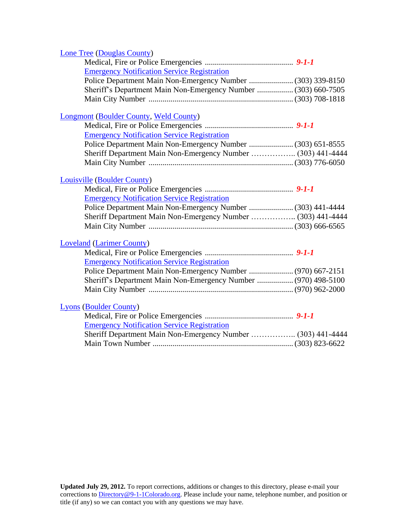| Lone Tree (Douglas County)                                     |  |
|----------------------------------------------------------------|--|
|                                                                |  |
| <b>Emergency Notification Service Registration</b>             |  |
|                                                                |  |
| Sheriff's Department Main Non-Emergency Number  (303) 660-7505 |  |
|                                                                |  |
| Longmont (Boulder County, Weld County)                         |  |
|                                                                |  |
| <b>Emergency Notification Service Registration</b>             |  |
|                                                                |  |
|                                                                |  |
|                                                                |  |
| <b>Louisville (Boulder County)</b>                             |  |
|                                                                |  |
| <b>Emergency Notification Service Registration</b>             |  |
|                                                                |  |
| Sheriff Department Main Non-Emergency Number  (303) 441-4444   |  |
|                                                                |  |
| <b>Loveland (Larimer County)</b>                               |  |
|                                                                |  |
| <b>Emergency Notification Service Registration</b>             |  |
| Police Department Main Non-Emergency Number  (970) 667-2151    |  |
| Sheriff's Department Main Non-Emergency Number  (970) 498-5100 |  |
|                                                                |  |
| <b>Lyons (Boulder County)</b>                                  |  |
|                                                                |  |
| <b>Emergency Notification Service Registration</b>             |  |
| Sheriff Department Main Non-Emergency Number  (303) 441-4444   |  |
|                                                                |  |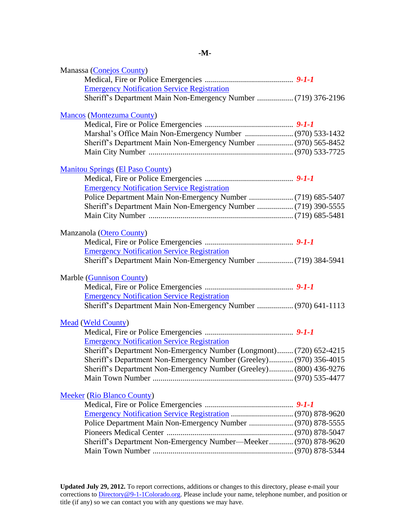|--|

<span id="page-34-0"></span>

| Manassa (Conejos County)                                            |  |
|---------------------------------------------------------------------|--|
|                                                                     |  |
| <b>Emergency Notification Service Registration</b>                  |  |
| Sheriff's Department Main Non-Emergency Number  (719) 376-2196      |  |
| <b>Mancos</b> (Montezuma County)                                    |  |
|                                                                     |  |
|                                                                     |  |
| Sheriff's Department Main Non-Emergency Number  (970) 565-8452      |  |
|                                                                     |  |
|                                                                     |  |
| <b>Manitou Springs (El Paso County)</b>                             |  |
|                                                                     |  |
| <b>Emergency Notification Service Registration</b>                  |  |
|                                                                     |  |
| Sheriff's Department Main Non-Emergency Number  (719) 390-5555      |  |
|                                                                     |  |
|                                                                     |  |
| Manzanola (Otero County)                                            |  |
|                                                                     |  |
| <b>Emergency Notification Service Registration</b>                  |  |
| Sheriff's Department Main Non-Emergency Number  (719) 384-5941      |  |
| <b>Marble (Gunnison County)</b>                                     |  |
|                                                                     |  |
| <b>Emergency Notification Service Registration</b>                  |  |
| Sheriff's Department Main Non-Emergency Number  (970) 641-1113      |  |
| <b>Mead (Weld County)</b>                                           |  |
|                                                                     |  |
| <b>Emergency Notification Service Registration</b>                  |  |
| Sheriff's Department Non-Emergency Number (Longmont) (720) 652-4215 |  |
| Sheriff's Department Non-Emergency Number (Greeley) (970) 356-4015  |  |
| Sheriff's Department Non-Emergency Number (Greeley) (800) 436-9276  |  |
|                                                                     |  |
|                                                                     |  |
| <b>Meeker</b> (Rio Blanco County)                                   |  |
|                                                                     |  |
|                                                                     |  |
|                                                                     |  |
|                                                                     |  |
| Sheriff's Department Non-Emergency Number-Meeker (970) 878-9620     |  |
|                                                                     |  |
|                                                                     |  |
|                                                                     |  |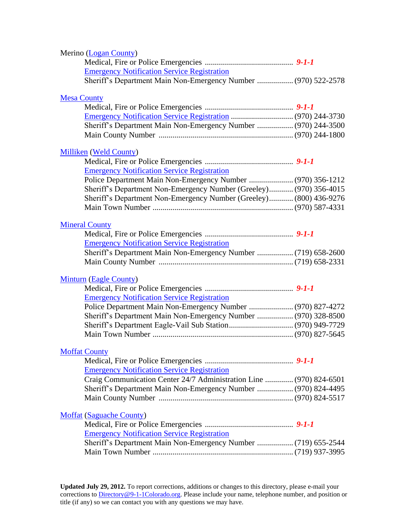<span id="page-35-2"></span><span id="page-35-1"></span><span id="page-35-0"></span>

| Merino (Logan County)                                               |  |
|---------------------------------------------------------------------|--|
|                                                                     |  |
| <b>Emergency Notification Service Registration</b>                  |  |
| Sheriff's Department Main Non-Emergency Number  (970) 522-2578      |  |
| <b>Mesa County</b>                                                  |  |
|                                                                     |  |
|                                                                     |  |
| Sheriff's Department Main Non-Emergency Number  (970) 244-3500      |  |
|                                                                     |  |
| <b>Milliken</b> (Weld County)                                       |  |
|                                                                     |  |
| <b>Emergency Notification Service Registration</b>                  |  |
| Police Department Main Non-Emergency Number  (970) 356-1212         |  |
| Sheriff's Department Non-Emergency Number (Greeley) (970) 356-4015  |  |
| Sheriff's Department Non-Emergency Number (Greeley) (800) 436-9276  |  |
|                                                                     |  |
| <b>Mineral County</b>                                               |  |
|                                                                     |  |
| <b>Emergency Notification Service Registration</b>                  |  |
| Sheriff's Department Main Non-Emergency Number  (719) 658-2600      |  |
|                                                                     |  |
|                                                                     |  |
| <b>Minturn (Eagle County)</b>                                       |  |
|                                                                     |  |
| <b>Emergency Notification Service Registration</b>                  |  |
|                                                                     |  |
| Sheriff's Department Main Non-Emergency Number  (970) 328-8500      |  |
|                                                                     |  |
|                                                                     |  |
| <b>Moffat County</b>                                                |  |
|                                                                     |  |
| <b>Emergency Notification Service Registration</b>                  |  |
| Craig Communication Center 24/7 Administration Line  (970) 824-6501 |  |
| Sheriff's Department Main Non-Emergency Number  (970) 824-4495      |  |
|                                                                     |  |
| <b>Moffat (Saguache County)</b>                                     |  |
|                                                                     |  |
| <b>Emergency Notification Service Registration</b>                  |  |
| Sheriff's Department Main Non-Emergency Number  (719) 655-2544      |  |
|                                                                     |  |
|                                                                     |  |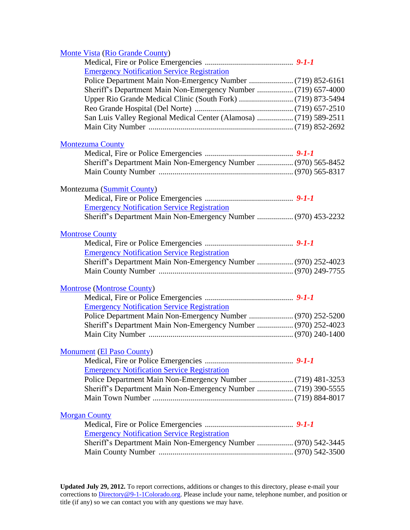<span id="page-36-2"></span><span id="page-36-1"></span><span id="page-36-0"></span>

| <b>Monte Vista (Rio Grande County)</b>                            |  |
|-------------------------------------------------------------------|--|
|                                                                   |  |
| <b>Emergency Notification Service Registration</b>                |  |
|                                                                   |  |
|                                                                   |  |
|                                                                   |  |
|                                                                   |  |
| San Luis Valley Regional Medical Center (Alamosa)  (719) 589-2511 |  |
|                                                                   |  |
| <b>Montezuma County</b>                                           |  |
|                                                                   |  |
| Sheriff's Department Main Non-Emergency Number  (970) 565-8452    |  |
|                                                                   |  |
| Montezuma (Summit County)                                         |  |
|                                                                   |  |
| <b>Emergency Notification Service Registration</b>                |  |
| Sheriff's Department Main Non-Emergency Number  (970) 453-2232    |  |
| <b>Montrose County</b>                                            |  |
|                                                                   |  |
| <b>Emergency Notification Service Registration</b>                |  |
| Sheriff's Department Main Non-Emergency Number  (970) 252-4023    |  |
|                                                                   |  |
| <b>Montrose (Montrose County)</b>                                 |  |
|                                                                   |  |
| <b>Emergency Notification Service Registration</b>                |  |
|                                                                   |  |
| Sheriff's Department Main Non-Emergency Number  (970) 252-4023    |  |
|                                                                   |  |
| <b>Monument</b> (El Paso County)                                  |  |
|                                                                   |  |
| <b>Emergency Notification Service Registration</b>                |  |
|                                                                   |  |
| Sheriff's Department Main Non-Emergency Number  (719) 390-5555    |  |
|                                                                   |  |
| <b>Morgan County</b>                                              |  |
|                                                                   |  |
| <b>Emergency Notification Service Registration</b>                |  |
| Sheriff's Department Main Non-Emergency Number  (970) 542-3445    |  |
|                                                                   |  |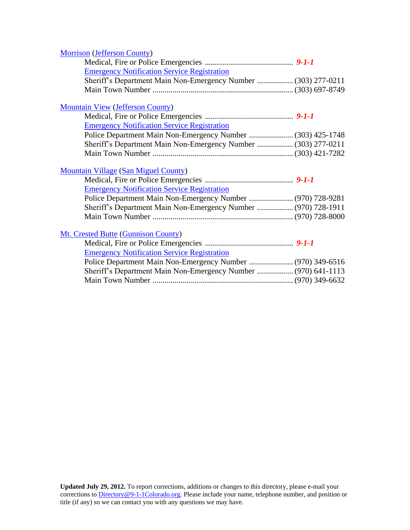<span id="page-37-0"></span>

| <b>Morrison (Jefferson County)</b>                             |  |
|----------------------------------------------------------------|--|
|                                                                |  |
| <b>Emergency Notification Service Registration</b>             |  |
| Sheriff's Department Main Non-Emergency Number  (303) 277-0211 |  |
|                                                                |  |
| <b>Mountain View (Jefferson County)</b>                        |  |
|                                                                |  |
| <b>Emergency Notification Service Registration</b>             |  |
| Police Department Main Non-Emergency Number  (303) 425-1748    |  |
| Sheriff's Department Main Non-Emergency Number  (303) 277-0211 |  |
|                                                                |  |
| <b>Mountain Village (San Miguel County)</b>                    |  |
|                                                                |  |
| <b>Emergency Notification Service Registration</b>             |  |
| Police Department Main Non-Emergency Number  (970) 728-9281    |  |
| Sheriff's Department Main Non-Emergency Number  (970) 728-1911 |  |
|                                                                |  |
| Mt. Crested Butte (Gunnison County)                            |  |
|                                                                |  |
| <b>Emergency Notification Service Registration</b>             |  |
| Police Department Main Non-Emergency Number  (970) 349-6516    |  |
| Sheriff's Department Main Non-Emergency Number  (970) 641-1113 |  |
|                                                                |  |
|                                                                |  |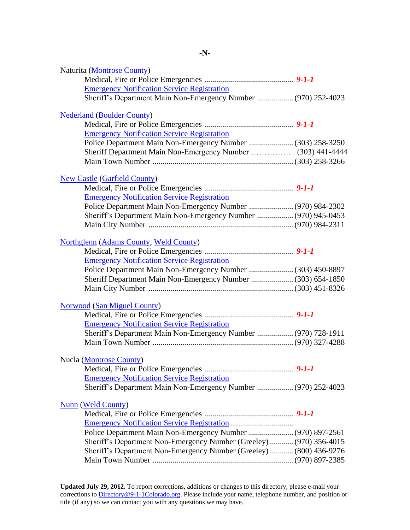| Naturita (Montrose County)                                         |  |
|--------------------------------------------------------------------|--|
|                                                                    |  |
| <b>Emergency Notification Service Registration</b>                 |  |
| Sheriff's Department Main Non-Emergency Number  (970) 252-4023     |  |
| <b>Nederland (Boulder County)</b>                                  |  |
|                                                                    |  |
| <b>Emergency Notification Service Registration</b>                 |  |
|                                                                    |  |
| Sheriff Department Main Non-Emergency Number  (303) 441-4444       |  |
|                                                                    |  |
| <b>New Castle (Garfield County)</b>                                |  |
|                                                                    |  |
| <b>Emergency Notification Service Registration</b>                 |  |
|                                                                    |  |
| Sheriff's Department Main Non-Emergency Number  (970) 945-0453     |  |
|                                                                    |  |
| <b>Northglenn</b> (Adams County, Weld County)                      |  |
|                                                                    |  |
| <b>Emergency Notification Service Registration</b>                 |  |
|                                                                    |  |
| Sheriff Department Main Non-Emergency Number  (303) 654-1850       |  |
|                                                                    |  |
| <b>Norwood</b> (San Miguel County)                                 |  |
|                                                                    |  |
| <b>Emergency Notification Service Registration</b>                 |  |
| Sheriff's Department Main Non-Emergency Number  (970) 728-1911     |  |
|                                                                    |  |
| Nucla (Montrose County)                                            |  |
|                                                                    |  |
| <b>Emergency Notification Service Registration</b>                 |  |
| Sheriff's Department Main Non-Emergency Number  (970) 252-4023     |  |
| <b>Nunn</b> (Weld County)                                          |  |
|                                                                    |  |
| <b>Emergency Notification Service Registration </b>                |  |
| Police Department Main Non-Emergency Number  (970) 897-2561        |  |
| Sheriff's Department Non-Emergency Number (Greeley) (970) 356-4015 |  |
| Sheriff's Department Non-Emergency Number (Greeley) (800) 436-9276 |  |
|                                                                    |  |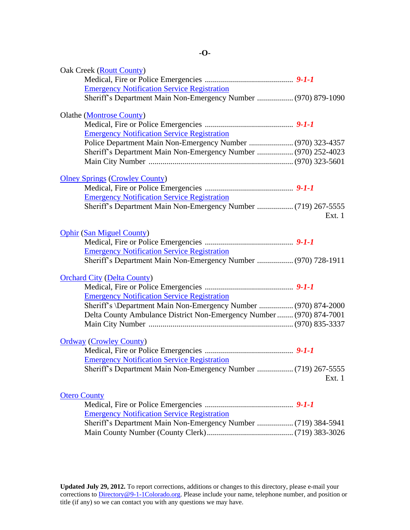<span id="page-39-0"></span>

| Oak Creek (Routt County)                                             |        |
|----------------------------------------------------------------------|--------|
|                                                                      |        |
| <b>Emergency Notification Service Registration</b>                   |        |
| Sheriff's Department Main Non-Emergency Number  (970) 879-1090       |        |
| <b>Olathe</b> (Montrose County)                                      |        |
|                                                                      |        |
| <b>Emergency Notification Service Registration</b>                   |        |
| Police Department Main Non-Emergency Number  (970) 323-4357          |        |
| Sheriff's Department Main Non-Emergency Number  (970) 252-4023       |        |
|                                                                      |        |
|                                                                      |        |
| <b>Olney Springs (Crowley County)</b>                                |        |
|                                                                      |        |
| <b>Emergency Notification Service Registration</b>                   |        |
|                                                                      | Ext. 1 |
|                                                                      |        |
| <b>Ophir (San Miguel County)</b>                                     |        |
|                                                                      |        |
| <b>Emergency Notification Service Registration</b>                   |        |
| Sheriff's Department Main Non-Emergency Number  (970) 728-1911       |        |
| <b>Orchard City (Delta County)</b>                                   |        |
|                                                                      |        |
| <b>Emergency Notification Service Registration</b>                   |        |
| Sheriff's \Department Main Non-Emergency Number  (970) 874-2000      |        |
| Delta County Ambulance District Non-Emergency Number  (970) 874-7001 |        |
|                                                                      |        |
| <b>Ordway (Crowley County)</b>                                       |        |
|                                                                      |        |
| <b>Emergency Notification Service Registration</b>                   |        |
| Sheriff's Department Main Non-Emergency Number  (719) 267-5555       |        |
|                                                                      | Ext. 1 |
| <b>Otero County</b>                                                  |        |
|                                                                      |        |
| <b>Emergency Notification Service Registration</b>                   |        |
|                                                                      |        |
|                                                                      |        |

<span id="page-39-1"></span>Main County Number (County Clerk)...........................................(719) 383-3026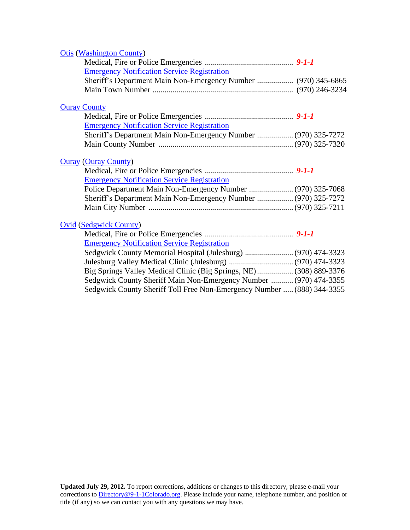<span id="page-40-0"></span>

| <b>Otis (Washington County)</b>                                        |  |
|------------------------------------------------------------------------|--|
|                                                                        |  |
| <b>Emergency Notification Service Registration</b>                     |  |
| Sheriff's Department Main Non-Emergency Number  (970) 345-6865         |  |
|                                                                        |  |
| <b>Ouray County</b>                                                    |  |
|                                                                        |  |
| <b>Emergency Notification Service Registration</b>                     |  |
| Sheriff's Department Main Non-Emergency Number  (970) 325-7272         |  |
|                                                                        |  |
| <b>Ouray (Ouray County)</b>                                            |  |
|                                                                        |  |
| <b>Emergency Notification Service Registration</b>                     |  |
|                                                                        |  |
| Sheriff's Department Main Non-Emergency Number  (970) 325-7272         |  |
|                                                                        |  |
| <b>Ovid (Sedgwick County)</b>                                          |  |
|                                                                        |  |
| <b>Emergency Notification Service Registration</b>                     |  |
|                                                                        |  |
|                                                                        |  |
| Big Springs Valley Medical Clinic (Big Springs, NE) (308) 889-3376     |  |
| Sedgwick County Sheriff Main Non-Emergency Number  (970) 474-3355      |  |
| Sedgwick County Sheriff Toll Free Non-Emergency Number  (888) 344-3355 |  |
|                                                                        |  |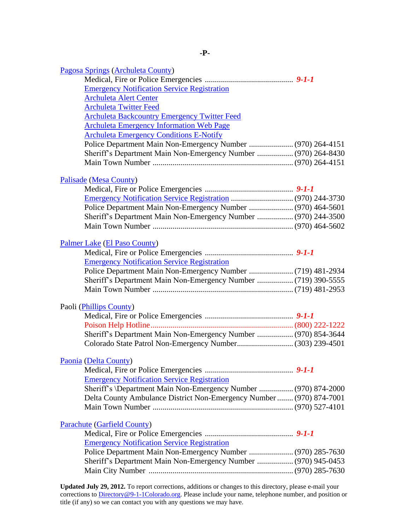<span id="page-41-0"></span>

| Pagosa Springs (Archuleta County)                                    |  |
|----------------------------------------------------------------------|--|
|                                                                      |  |
| <b>Emergency Notification Service Registration</b>                   |  |
| <b>Archuleta Alert Center</b>                                        |  |
| <b>Archuleta Twitter Feed</b>                                        |  |
| <b>Archuleta Backcountry Emergency Twitter Feed</b>                  |  |
| <b>Archuleta Emergency Information Web Page</b>                      |  |
| <b>Archuleta Emergency Conditions E-Notify</b>                       |  |
|                                                                      |  |
| Sheriff's Department Main Non-Emergency Number  (970) 264-8430       |  |
|                                                                      |  |
| Palisade (Mesa County)                                               |  |
|                                                                      |  |
|                                                                      |  |
| Police Department Main Non-Emergency Number  (970) 464-5601          |  |
| Sheriff's Department Main Non-Emergency Number  (970) 244-3500       |  |
|                                                                      |  |
| Palmer Lake (El Paso County)                                         |  |
|                                                                      |  |
| <b>Emergency Notification Service Registration</b>                   |  |
|                                                                      |  |
|                                                                      |  |
|                                                                      |  |
| Paoli ( <i>Phillips County</i> )                                     |  |
|                                                                      |  |
|                                                                      |  |
| Sheriff's Department Main Non-Emergency Number  (970) 854-3644       |  |
|                                                                      |  |
|                                                                      |  |
| Paonia (Delta County)                                                |  |
| <b>Emergency Notification Service Registration</b>                   |  |
| Sheriff's \Department Main Non-Emergency Number  (970) 874-2000      |  |
| Delta County Ambulance District Non-Emergency Number  (970) 874-7001 |  |
|                                                                      |  |
|                                                                      |  |
| <b>Parachute (Garfield County)</b>                                   |  |
|                                                                      |  |
| <b>Emergency Notification Service Registration</b>                   |  |
|                                                                      |  |
| Sheriff's Department Main Non-Emergency Number  (970) 945-0453       |  |
|                                                                      |  |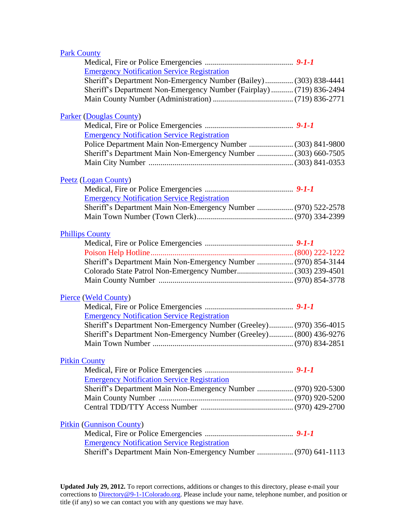<span id="page-42-2"></span><span id="page-42-1"></span><span id="page-42-0"></span>

| <b>Park County</b>                                                   |  |
|----------------------------------------------------------------------|--|
|                                                                      |  |
| <b>Emergency Notification Service Registration</b>                   |  |
| Sheriff's Department Non-Emergency Number (Bailey) (303) 838-4441    |  |
| Sheriff's Department Non-Emergency Number (Fairplay)  (719) 836-2494 |  |
|                                                                      |  |
|                                                                      |  |
| <b>Parker (Douglas County)</b>                                       |  |
|                                                                      |  |
| <b>Emergency Notification Service Registration</b>                   |  |
| Police Department Main Non-Emergency Number  (303) 841-9800          |  |
| Sheriff's Department Main Non-Emergency Number  (303) 660-7505       |  |
|                                                                      |  |
|                                                                      |  |
| Peetz (Logan County)                                                 |  |
|                                                                      |  |
| <b>Emergency Notification Service Registration</b>                   |  |
| Sheriff's Department Main Non-Emergency Number  (970) 522-2578       |  |
|                                                                      |  |
| <b>Phillips County</b>                                               |  |
|                                                                      |  |
|                                                                      |  |
| Sheriff's Department Main Non-Emergency Number  (970) 854-3144       |  |
|                                                                      |  |
|                                                                      |  |
|                                                                      |  |
| Pierce (Weld County)                                                 |  |
|                                                                      |  |
| <b>Emergency Notification Service Registration</b>                   |  |
| Sheriff's Department Non-Emergency Number (Greeley) (970) 356-4015   |  |
| Sheriff's Department Non-Emergency Number (Greeley) (800) 436-9276   |  |
| Main Town Number                                                     |  |
|                                                                      |  |
| <b>Pitkin County</b>                                                 |  |
|                                                                      |  |
| <b>Emergency Notification Service Registration</b>                   |  |
| Sheriff's Department Main Non-Emergency Number  (970) 920-5300       |  |
|                                                                      |  |
|                                                                      |  |
|                                                                      |  |
| <b>Pitkin (Gunnison County)</b>                                      |  |
|                                                                      |  |
| <b>Emergency Notification Service Registration</b>                   |  |
| Sheriff's Department Main Non-Emergency Number  (970) 641-1113       |  |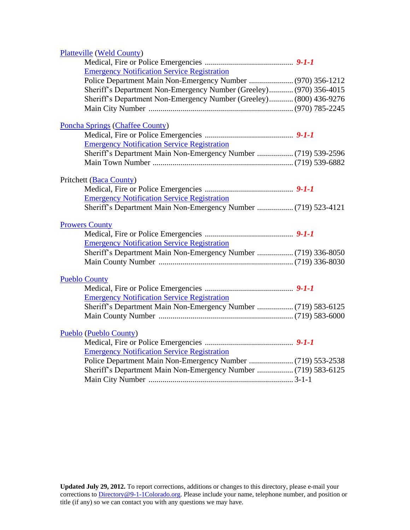<span id="page-43-1"></span><span id="page-43-0"></span>

| <b>Platteville (Weld County)</b>                                   |  |
|--------------------------------------------------------------------|--|
|                                                                    |  |
| <b>Emergency Notification Service Registration</b>                 |  |
| Police Department Main Non-Emergency Number  (970) 356-1212        |  |
| Sheriff's Department Non-Emergency Number (Greeley) (970) 356-4015 |  |
| Sheriff's Department Non-Emergency Number (Greeley) (800) 436-9276 |  |
|                                                                    |  |
| <b>Poncha Springs (Chaffee County)</b>                             |  |
|                                                                    |  |
| <b>Emergency Notification Service Registration</b>                 |  |
|                                                                    |  |
|                                                                    |  |
| Pritchett (Baca County)                                            |  |
|                                                                    |  |
| <b>Emergency Notification Service Registration</b>                 |  |
| Sheriff's Department Main Non-Emergency Number  (719) 523-4121     |  |
|                                                                    |  |
| <b>Prowers County</b>                                              |  |
|                                                                    |  |
| <b>Emergency Notification Service Registration</b>                 |  |
| Sheriff's Department Main Non-Emergency Number  (719) 336-8050     |  |
|                                                                    |  |
| <b>Pueblo County</b>                                               |  |
|                                                                    |  |
| <b>Emergency Notification Service Registration</b>                 |  |
| Sheriff's Department Main Non-Emergency Number  (719) 583-6125     |  |
|                                                                    |  |
|                                                                    |  |
| <b>Pueblo (Pueblo County)</b>                                      |  |
|                                                                    |  |
| <b>Emergency Notification Service Registration</b>                 |  |
|                                                                    |  |
| Sheriff's Department Main Non-Emergency Number  (719) 583-6125     |  |
|                                                                    |  |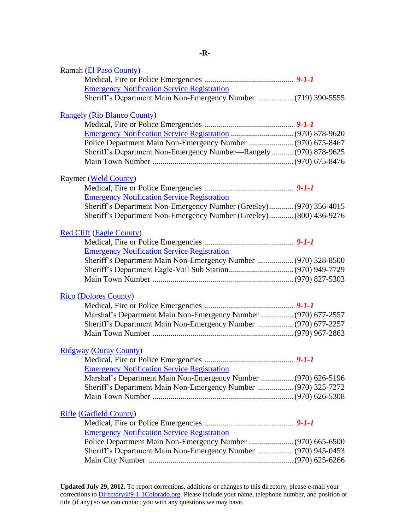<span id="page-44-0"></span>

| Ramah (El Paso County)                                             |  |
|--------------------------------------------------------------------|--|
|                                                                    |  |
| <b>Emergency Notification Service Registration</b>                 |  |
| Sheriff's Department Main Non-Emergency Number  (719) 390-5555     |  |
|                                                                    |  |
| <b>Rangely (Rio Blanco County)</b>                                 |  |
|                                                                    |  |
| Police Department Main Non-Emergency Number  (970) 675-8467        |  |
|                                                                    |  |
| Sheriff's Department Non-Emergency Number-Rangely (970) 878-9625   |  |
|                                                                    |  |
| Raymer (Weld County)                                               |  |
|                                                                    |  |
| <b>Emergency Notification Service Registration</b>                 |  |
| Sheriff's Department Non-Emergency Number (Greeley) (970) 356-4015 |  |
| Sheriff's Department Non-Emergency Number (Greeley) (800) 436-9276 |  |
|                                                                    |  |
| <b>Red Cliff (Eagle County)</b>                                    |  |
|                                                                    |  |
| <b>Emergency Notification Service Registration</b>                 |  |
| Sheriff's Department Main Non-Emergency Number  (970) 328-8500     |  |
|                                                                    |  |
|                                                                    |  |
| <b>Rico (Dolores County)</b>                                       |  |
|                                                                    |  |
| Marshal's Department Main Non-Emergency Number  (970) 677-2557     |  |
| Sheriff's Department Main Non-Emergency Number  (970) 677-2257     |  |
|                                                                    |  |
|                                                                    |  |
| <b>Ridgway (Ouray County)</b>                                      |  |
|                                                                    |  |
| <b>Emergency Notification Service Registration</b>                 |  |
| Marshal's Department Main Non-Emergency Number  (970) 626-5196     |  |
| Sheriff's Department Main Non-Emergency Number  (970) 325-7272     |  |
|                                                                    |  |
| <b>Rifle (Garfield County)</b>                                     |  |
|                                                                    |  |
| <b>Emergency Notification Service Registration</b>                 |  |
| Police Department Main Non-Emergency Number  (970) 665-6500        |  |
| Sheriff's Department Main Non-Emergency Number  (970) 945-0453     |  |
|                                                                    |  |
|                                                                    |  |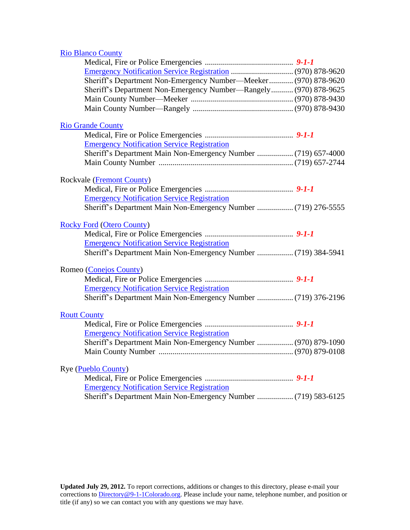### <span id="page-45-2"></span>[Rio Blanco County](http://www.co.rio-blanco.co.us/)

<span id="page-45-1"></span><span id="page-45-0"></span>

| Sheriff's Department Non-Emergency Number-Meeker (970) 878-9620  |  |
|------------------------------------------------------------------|--|
| Sheriff's Department Non-Emergency Number-Rangely (970) 878-9625 |  |
|                                                                  |  |
|                                                                  |  |
| <b>Rio Grande County</b>                                         |  |
|                                                                  |  |
| <b>Emergency Notification Service Registration</b>               |  |
| Sheriff's Department Main Non-Emergency Number  (719) 657-4000   |  |
|                                                                  |  |
|                                                                  |  |
| Rockvale (Fremont County)                                        |  |
|                                                                  |  |
| <b>Emergency Notification Service Registration</b>               |  |
| Sheriff's Department Main Non-Emergency Number  (719) 276-5555   |  |
| <b>Rocky Ford (Otero County)</b>                                 |  |
|                                                                  |  |
| <b>Emergency Notification Service Registration</b>               |  |
| Sheriff's Department Main Non-Emergency Number  (719) 384-5941   |  |
| Romeo (Conejos County)                                           |  |
|                                                                  |  |
| <b>Emergency Notification Service Registration</b>               |  |
| Sheriff's Department Main Non-Emergency Number  (719) 376-2196   |  |
|                                                                  |  |
| <b>Routt County</b>                                              |  |
|                                                                  |  |
| <b>Emergency Notification Service Registration</b>               |  |
| Sheriff's Department Main Non-Emergency Number  (970) 879-1090   |  |
|                                                                  |  |
| <b>Rye</b> ( <b>Pueblo County</b> )                              |  |
|                                                                  |  |
| <b>Emergency Notification Service Registration</b>               |  |
| Sheriff's Department Main Non-Emergency Number  (719) 583-6125   |  |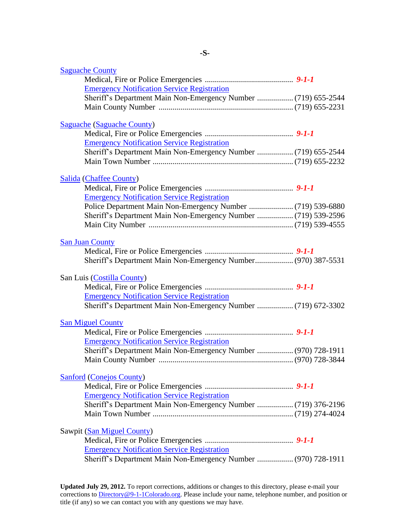<span id="page-46-4"></span><span id="page-46-3"></span><span id="page-46-2"></span><span id="page-46-1"></span><span id="page-46-0"></span>

| <b>Saguache County</b>                                         |  |
|----------------------------------------------------------------|--|
|                                                                |  |
| <b>Emergency Notification Service Registration</b>             |  |
| Sheriff's Department Main Non-Emergency Number  (719) 655-2544 |  |
|                                                                |  |
| <b>Saguache (Saguache County)</b>                              |  |
|                                                                |  |
| <b>Emergency Notification Service Registration</b>             |  |
| Sheriff's Department Main Non-Emergency Number  (719) 655-2544 |  |
|                                                                |  |
|                                                                |  |
| <b>Salida (Chaffee County)</b>                                 |  |
| <b>Emergency Notification Service Registration</b>             |  |
|                                                                |  |
| Sheriff's Department Main Non-Emergency Number  (719) 539-2596 |  |
|                                                                |  |
|                                                                |  |
| <b>San Juan County</b>                                         |  |
|                                                                |  |
|                                                                |  |
| San Luis (Costilla County)                                     |  |
|                                                                |  |
| <b>Emergency Notification Service Registration</b>             |  |
|                                                                |  |
|                                                                |  |
| <b>San Miguel County</b>                                       |  |
|                                                                |  |
| <b>Emergency Notification Service Registration</b>             |  |
| Sheriff's Department Main Non-Emergency Number  (970) 728-1911 |  |
|                                                                |  |
| <b>Sanford (Conejos County)</b>                                |  |
|                                                                |  |
| <b>Emergency Notification Service Registration</b>             |  |
| Sheriff's Department Main Non-Emergency Number  (719) 376-2196 |  |
|                                                                |  |
|                                                                |  |
| Sawpit (San Miguel County)                                     |  |
|                                                                |  |
| <b>Emergency Notification Service Registration</b>             |  |
| Sheriff's Department Main Non-Emergency Number  (970) 728-1911 |  |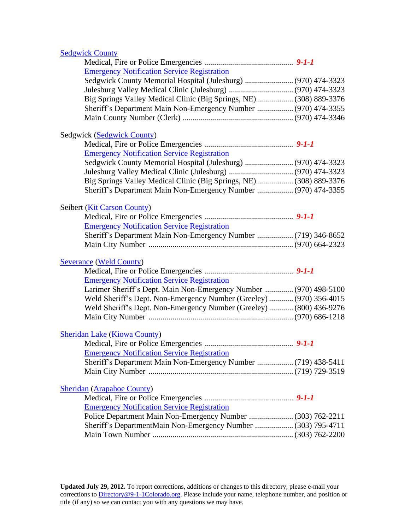## **[Sedgwick County](http://www.sedgwickcountygov.net/)**

| <b>Emergency Notification Service Registration</b>                  |  |
|---------------------------------------------------------------------|--|
| Sedgwick County Memorial Hospital (Julesburg)  (970) 474-3323       |  |
|                                                                     |  |
| Big Springs Valley Medical Clinic (Big Springs, NE)  (308) 889-3376 |  |
| Sheriff's Department Main Non-Emergency Number  (970) 474-3355      |  |
|                                                                     |  |
| Sedgwick (Sedgwick County)                                          |  |
|                                                                     |  |
| <b>Emergency Notification Service Registration</b>                  |  |
| Sedgwick County Memorial Hospital (Julesburg)  (970) 474-3323       |  |
|                                                                     |  |
| Big Springs Valley Medical Clinic (Big Springs, NE)  (308) 889-3376 |  |
| Sheriff's Department Main Non-Emergency Number  (970) 474-3355      |  |
| Seibert (Kit Carson County)                                         |  |
|                                                                     |  |
| <b>Emergency Notification Service Registration</b>                  |  |
| Sheriff's Department Main Non-Emergency Number  (719) 346-8652      |  |
|                                                                     |  |
| <b>Severance (Weld County)</b>                                      |  |
|                                                                     |  |
| <b>Emergency Notification Service Registration</b>                  |  |
| Larimer Sheriff's Dept. Main Non-Emergency Number  (970) 498-5100   |  |
| Weld Sheriff's Dept. Non-Emergency Number (Greeley)  (970) 356-4015 |  |
| Weld Sheriff's Dept. Non-Emergency Number (Greeley)  (800) 436-9276 |  |
|                                                                     |  |
| <b>Sheridan Lake (Kiowa County)</b>                                 |  |
|                                                                     |  |
| <b>Emergency Notification Service Registration</b>                  |  |
| Sheriff's Department Main Non-Emergency Number  (719) 438-5411      |  |
|                                                                     |  |
| <b>Sheridan (Arapahoe County)</b>                                   |  |
|                                                                     |  |
| <b>Emergency Notification Service Registration</b>                  |  |
| Police Department Main Non-Emergency Number  (303) 762-2211         |  |
| Sheriff's DepartmentMain Non-Emergency Number  (303) 795-4711       |  |
|                                                                     |  |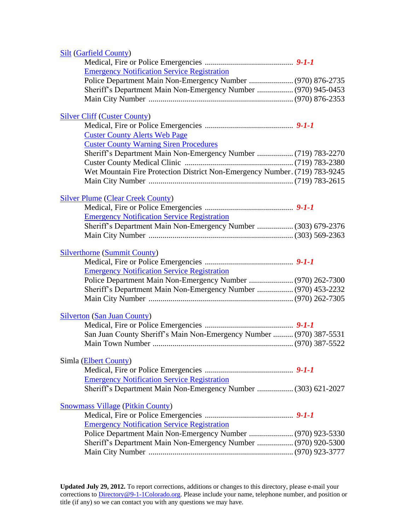| <b>Silt (Garfield County)</b>                                              |  |
|----------------------------------------------------------------------------|--|
|                                                                            |  |
| <b>Emergency Notification Service Registration</b>                         |  |
|                                                                            |  |
| Sheriff's Department Main Non-Emergency Number  (970) 945-0453             |  |
|                                                                            |  |
| <b>Silver Cliff (Custer County)</b>                                        |  |
|                                                                            |  |
| <b>Custer County Alerts Web Page</b>                                       |  |
| <b>Custer County Warning Siren Procedures</b>                              |  |
|                                                                            |  |
|                                                                            |  |
| Wet Mountain Fire Protection District Non-Emergency Number. (719) 783-9245 |  |
|                                                                            |  |
| <b>Silver Plume (Clear Creek County)</b>                                   |  |
|                                                                            |  |
| <b>Emergency Notification Service Registration</b>                         |  |
| Sheriff's Department Main Non-Emergency Number  (303) 679-2376             |  |
|                                                                            |  |
|                                                                            |  |
| <b>Silverthorne (Summit County)</b>                                        |  |
|                                                                            |  |
| <b>Emergency Notification Service Registration</b>                         |  |
|                                                                            |  |
| Sheriff's Department Main Non-Emergency Number  (970) 453-2232             |  |
|                                                                            |  |
| <b>Silverton (San Juan County)</b>                                         |  |
|                                                                            |  |
| San Juan County Sheriff's Main Non-Emergency Number  (970) 387-5531        |  |
|                                                                            |  |
| Simla (Elbert County)                                                      |  |
|                                                                            |  |
| <b>Emergency Notification Service Registration</b>                         |  |
| Sheriff's Department Main Non-Emergency Number  (303) 621-2027             |  |
| <b>Snowmass Village (Pitkin County)</b>                                    |  |
|                                                                            |  |
| <b>Emergency Notification Service Registration</b>                         |  |
|                                                                            |  |
| Sheriff's Department Main Non-Emergency Number  (970) 920-5300             |  |
|                                                                            |  |
|                                                                            |  |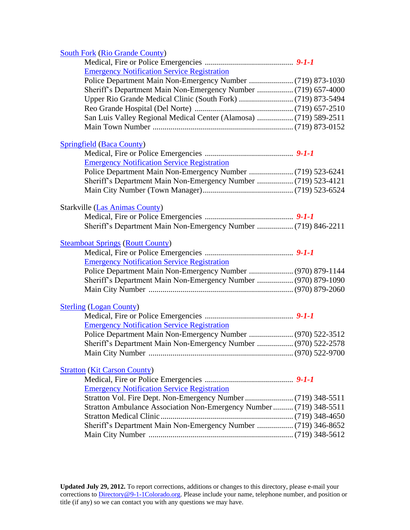## [South Fork](http://www.southfork.org/) [\(Rio Grande County\)](#page-45-0)

| <b>Emergency Notification Service Registration</b>                  |  |
|---------------------------------------------------------------------|--|
|                                                                     |  |
|                                                                     |  |
|                                                                     |  |
|                                                                     |  |
| San Luis Valley Regional Medical Center (Alamosa)  (719) 589-2511   |  |
|                                                                     |  |
| <b>Springfield (Baca County)</b>                                    |  |
|                                                                     |  |
| <b>Emergency Notification Service Registration</b>                  |  |
|                                                                     |  |
|                                                                     |  |
|                                                                     |  |
| <b>Starkville (Las Animas County)</b>                               |  |
|                                                                     |  |
|                                                                     |  |
| <b>Steamboat Springs (Routt County)</b>                             |  |
|                                                                     |  |
| <b>Emergency Notification Service Registration</b>                  |  |
|                                                                     |  |
| Sheriff's Department Main Non-Emergency Number  (970) 879-1090      |  |
|                                                                     |  |
| <b>Sterling (Logan County)</b>                                      |  |
|                                                                     |  |
| <b>Emergency Notification Service Registration</b>                  |  |
|                                                                     |  |
| Sheriff's Department Main Non-Emergency Number  (970) 522-2578      |  |
|                                                                     |  |
| <b>Stratton (Kit Carson County)</b>                                 |  |
|                                                                     |  |
| <b>Emergency Notification Service Registration</b>                  |  |
|                                                                     |  |
| Stratton Ambulance Association Non-Emergency Number  (719) 348-5511 |  |
|                                                                     |  |
| Sheriff's Department Main Non-Emergency Number  (719) 346-8652      |  |
|                                                                     |  |
|                                                                     |  |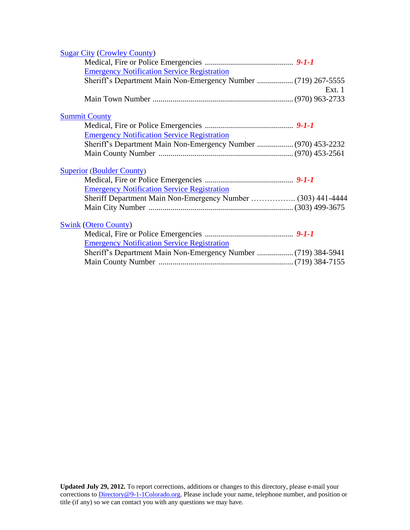<span id="page-50-0"></span>

| <b>Sugar City (Crowley County)</b>                             |        |
|----------------------------------------------------------------|--------|
|                                                                |        |
| <b>Emergency Notification Service Registration</b>             |        |
| Sheriff's Department Main Non-Emergency Number  (719) 267-5555 |        |
|                                                                | Ext. 1 |
|                                                                |        |
| <b>Summit County</b>                                           |        |
|                                                                |        |
| <b>Emergency Notification Service Registration</b>             |        |
| Sheriff's Department Main Non-Emergency Number  (970) 453-2232 |        |
|                                                                |        |
|                                                                |        |
| <b>Superior (Boulder County)</b>                               |        |
|                                                                |        |
| <b>Emergency Notification Service Registration</b>             |        |
|                                                                |        |
|                                                                |        |
|                                                                |        |
| <b>Swink (Otero County)</b>                                    |        |
|                                                                |        |
| <b>Emergency Notification Service Registration</b>             |        |
|                                                                |        |
|                                                                |        |
|                                                                |        |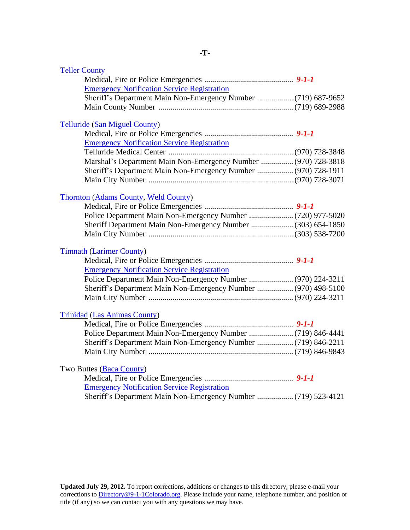<span id="page-51-1"></span><span id="page-51-0"></span>

| <b>Teller County</b>                                           |  |
|----------------------------------------------------------------|--|
|                                                                |  |
| <b>Emergency Notification Service Registration</b>             |  |
| Sheriff's Department Main Non-Emergency Number  (719) 687-9652 |  |
|                                                                |  |
| <b>Telluride (San Miguel County)</b>                           |  |
|                                                                |  |
| <b>Emergency Notification Service Registration</b>             |  |
|                                                                |  |
| Marshal's Department Main Non-Emergency Number  (970) 728-3818 |  |
| Sheriff's Department Main Non-Emergency Number  (970) 728-1911 |  |
|                                                                |  |
| <b>Thornton (Adams County, Weld County)</b>                    |  |
|                                                                |  |
|                                                                |  |
| Sheriff Department Main Non-Emergency Number  (303) 654-1850   |  |
|                                                                |  |
| <b>Timnath (Larimer County)</b>                                |  |
|                                                                |  |
| <b>Emergency Notification Service Registration</b>             |  |
| Police Department Main Non-Emergency Number  (970) 224-3211    |  |
| Sheriff's Department Main Non-Emergency Number  (970) 498-5100 |  |
|                                                                |  |
| <b>Trinidad (Las Animas County)</b>                            |  |
|                                                                |  |
|                                                                |  |
| Sheriff's Department Main Non-Emergency Number  (719) 846-2211 |  |
|                                                                |  |
| Two Buttes (Baca County)                                       |  |
|                                                                |  |
| <b>Emergency Notification Service Registration</b>             |  |
| Sheriff's Department Main Non-Emergency Number  (719) 523-4121 |  |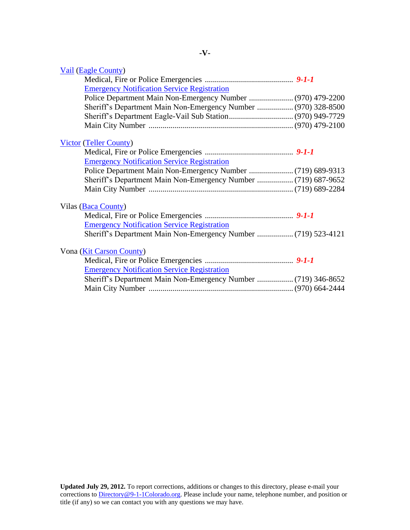<span id="page-52-0"></span>

| Vail (Eagle County)                                            |  |
|----------------------------------------------------------------|--|
|                                                                |  |
| <b>Emergency Notification Service Registration</b>             |  |
|                                                                |  |
| Sheriff's Department Main Non-Emergency Number  (970) 328-8500 |  |
|                                                                |  |
|                                                                |  |
| <b>Victor (Teller County)</b>                                  |  |
|                                                                |  |
| <b>Emergency Notification Service Registration</b>             |  |
|                                                                |  |
|                                                                |  |
|                                                                |  |
| Vilas (Baca County)                                            |  |
|                                                                |  |
| <b>Emergency Notification Service Registration</b>             |  |
|                                                                |  |
| Vona (Kit Carson County)                                       |  |
|                                                                |  |
| <b>Emergency Notification Service Registration</b>             |  |
| Sheriff's Department Main Non-Emergency Number  (719) 346-8652 |  |
|                                                                |  |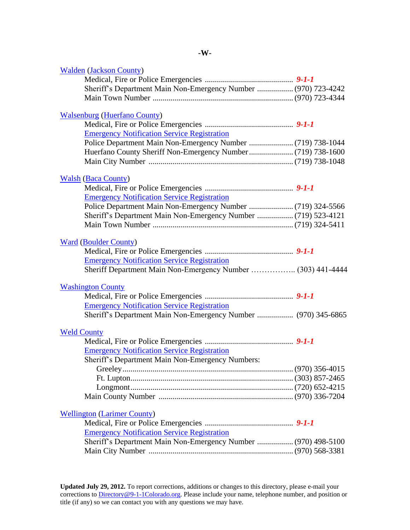<span id="page-53-2"></span><span id="page-53-1"></span><span id="page-53-0"></span>

| <b>Walden (Jackson County)</b>                                 |  |
|----------------------------------------------------------------|--|
|                                                                |  |
| Sheriff's Department Main Non-Emergency Number  (970) 723-4242 |  |
|                                                                |  |
| <b>Walsenburg (Huerfano County)</b>                            |  |
|                                                                |  |
| <b>Emergency Notification Service Registration</b>             |  |
|                                                                |  |
|                                                                |  |
|                                                                |  |
|                                                                |  |
| <b>Walsh (Baca County)</b>                                     |  |
| <b>Emergency Notification Service Registration</b>             |  |
|                                                                |  |
|                                                                |  |
| Sheriff's Department Main Non-Emergency Number  (719) 523-4121 |  |
|                                                                |  |
| <b>Ward (Boulder County)</b>                                   |  |
|                                                                |  |
| <b>Emergency Notification Service Registration</b>             |  |
| Sheriff Department Main Non-Emergency Number  (303) 441-4444   |  |
| <b>Washington County</b>                                       |  |
|                                                                |  |
| <b>Emergency Notification Service Registration</b>             |  |
| Sheriff's Department Main Non-Emergency Number  (970) 345-6865 |  |
| <b>Weld County</b>                                             |  |
|                                                                |  |
| <b>Emergency Notification Service Registration</b>             |  |
| Sheriff's Department Main Non-Emergency Numbers:               |  |
|                                                                |  |
|                                                                |  |
|                                                                |  |
|                                                                |  |
|                                                                |  |
| <b>Wellington (Larimer County)</b>                             |  |
|                                                                |  |
| <b>Emergency Notification Service Registration</b>             |  |
| Sheriff's Department Main Non-Emergency Number  (970) 498-5100 |  |
|                                                                |  |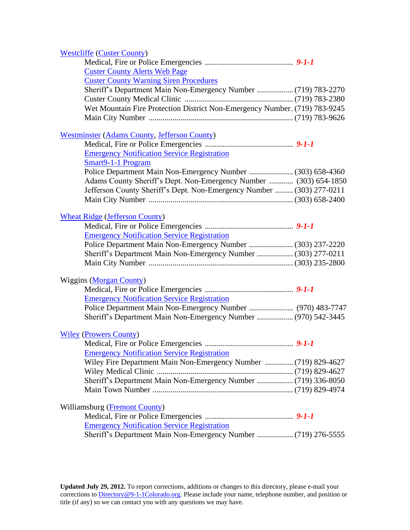| <b>Westcliffe (Custer County)</b>                                          |  |
|----------------------------------------------------------------------------|--|
|                                                                            |  |
| <b>Custer County Alerts Web Page</b>                                       |  |
| <b>Custer County Warning Siren Procedures</b>                              |  |
| Sheriff's Department Main Non-Emergency Number  (719) 783-2270             |  |
|                                                                            |  |
| Wet Mountain Fire Protection District Non-Emergency Number. (719) 783-9245 |  |
|                                                                            |  |
| <b>Westminster (Adams County, Jefferson County)</b>                        |  |
|                                                                            |  |
| <b>Emergency Notification Service Registration</b>                         |  |
| Smart9-1-1 Program                                                         |  |
|                                                                            |  |
| Adams County Sheriff's Dept. Non-Emergency Number  (303) 654-1850          |  |
| Jefferson County Sheriff's Dept. Non-Emergency Number  (303) 277-0211      |  |
|                                                                            |  |
| <b>Wheat Ridge (Jefferson County)</b>                                      |  |
|                                                                            |  |
| <b>Emergency Notification Service Registration</b>                         |  |
| Police Department Main Non-Emergency Number  (303) 237-2220                |  |
| Sheriff's Department Main Non-Emergency Number  (303) 277-0211             |  |
|                                                                            |  |
| <b>Wiggins (Morgan County)</b>                                             |  |
|                                                                            |  |
| <b>Emergency Notification Service Registration</b>                         |  |
|                                                                            |  |
| Sheriff's Department Main Non-Emergency Number  (970) 542-3445             |  |
| <b>Wiley (Prowers County)</b>                                              |  |
|                                                                            |  |
| <b>Emergency Notification Service Registration</b>                         |  |
| Wiley Fire Department Main Non-Emergency Number  (719) 829-4627            |  |
|                                                                            |  |
| Sheriff's Department Main Non-Emergency Number  (719) 336-8050             |  |
|                                                                            |  |
| Williamsburg (Fremont County)                                              |  |
|                                                                            |  |
| <b>Emergency Notification Service Registration</b>                         |  |
| Sheriff's Department Main Non-Emergency Number  (719) 276-5555             |  |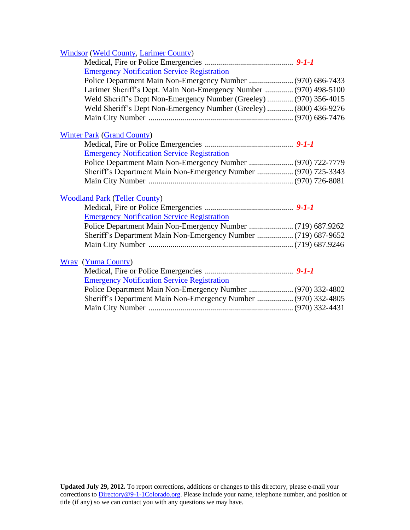| <b>Windsor (Weld County, Larimer County)</b>                                                                                  |  |
|-------------------------------------------------------------------------------------------------------------------------------|--|
|                                                                                                                               |  |
| <b>Emergency Notification Service Registration</b>                                                                            |  |
| Police Department Main Non-Emergency Number  (970) 686-7433                                                                   |  |
| Larimer Sheriff's Dept. Main Non-Emergency Number  (970) 498-5100                                                             |  |
| Weld Sheriff's Dept Non-Emergency Number (Greeley)  (970) 356-4015                                                            |  |
| Weld Sheriff's Dept Non-Emergency Number (Greeley)  (800) 436-9276                                                            |  |
|                                                                                                                               |  |
| <b>Winter Park (Grand County)</b>                                                                                             |  |
|                                                                                                                               |  |
| <b>Emergency Notification Service Registration</b>                                                                            |  |
|                                                                                                                               |  |
| Sheriff's Department Main Non-Emergency Number  (970) 725-3343                                                                |  |
|                                                                                                                               |  |
|                                                                                                                               |  |
| <b>Woodland Park (Teller County)</b>                                                                                          |  |
|                                                                                                                               |  |
| <b>Emergency Notification Service Registration</b>                                                                            |  |
|                                                                                                                               |  |
| Sheriff's Department Main Non-Emergency Number  (719) 687-9652                                                                |  |
|                                                                                                                               |  |
|                                                                                                                               |  |
| <b>Wray</b> (Yuma County)                                                                                                     |  |
| <b>Emergency Notification Service Registration</b>                                                                            |  |
|                                                                                                                               |  |
| Police Department Main Non-Emergency Number  (970) 332-4802<br>Sheriff's Department Main Non-Emergency Number  (970) 332-4805 |  |
|                                                                                                                               |  |